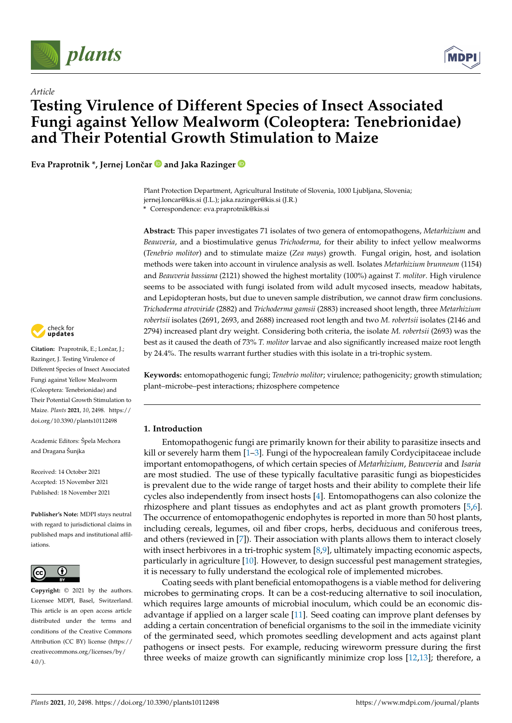

*Article*



# **Testing Virulence of Different Species of Insect Associated Fungi against Yellow Mealworm (Coleoptera: Tenebrionidae) and Their Potential Growth Stimulation to Maize**

**Eva Praprotnik \*, Jernej Lonˇcar and Jaka Razinger**

Plant Protection Department, Agricultural Institute of Slovenia, 1000 Ljubljana, Slovenia; jernej.loncar@kis.si (J.L.); jaka.razinger@kis.si (J.R.)

**\*** Correspondence: eva.praprotnik@kis.si

**Abstract:** This paper investigates 71 isolates of two genera of entomopathogens, *Metarhizium* and *Beauveria*, and a biostimulative genus *Trichoderma*, for their ability to infect yellow mealworms (*Tenebrio molitor*) and to stimulate maize (*Zea mays*) growth. Fungal origin, host, and isolation methods were taken into account in virulence analysis as well. Isolates *Metarhizium brunneum* (1154) and *Beauveria bassiana* (2121) showed the highest mortality (100%) against *T. molitor*. High virulence seems to be associated with fungi isolated from wild adult mycosed insects, meadow habitats, and Lepidopteran hosts, but due to uneven sample distribution, we cannot draw firm conclusions. *Trichoderma atroviride* (2882) and *Trichoderma gamsii* (2883) increased shoot length, three *Metarhizium robertsii* isolates (2691, 2693, and 2688) increased root length and two *M. robertsii* isolates (2146 and 2794) increased plant dry weight. Considering both criteria, the isolate *M. robertsii* (2693) was the best as it caused the death of 73% *T. molitor* larvae and also significantly increased maize root length by 24.4%. The results warrant further studies with this isolate in a tri-trophic system.

**Keywords:** entomopathogenic fungi; *Tenebrio molitor*; virulence; pathogenicity; growth stimulation; plant–microbe–pest interactions; rhizosphere competence

# **1. Introduction**

Entomopathogenic fungi are primarily known for their ability to parasitize insects and kill or severely harm them  $[1-3]$  $[1-3]$ . Fungi of the hypocrealean family Cordycipitaceae include important entomopathogens, of which certain species of *Metarhizium*, *Beauveria* and *Isaria* are most studied. The use of these typically facultative parasitic fungi as biopesticides is prevalent due to the wide range of target hosts and their ability to complete their life cycles also independently from insect hosts [\[4\]](#page-14-2). Entomopathogens can also colonize the rhizosphere and plant tissues as endophytes and act as plant growth promoters [\[5,](#page-14-3)[6\]](#page-14-4). The occurrence of entomopathogenic endophytes is reported in more than 50 host plants, including cereals, legumes, oil and fiber crops, herbs, deciduous and coniferous trees, and others (reviewed in [\[7\]](#page-14-5)). Their association with plants allows them to interact closely with insect herbivores in a tri-trophic system  $[8,9]$  $[8,9]$ , ultimately impacting economic aspects, particularly in agriculture [\[10\]](#page-14-8). However, to design successful pest management strategies, it is necessary to fully understand the ecological role of implemented microbes.

Coating seeds with plant beneficial entomopathogens is a viable method for delivering microbes to germinating crops. It can be a cost-reducing alternative to soil inoculation, which requires large amounts of microbial inoculum, which could be an economic disadvantage if applied on a larger scale [\[11\]](#page-14-9). Seed coating can improve plant defenses by adding a certain concentration of beneficial organisms to the soil in the immediate vicinity of the germinated seed, which promotes seedling development and acts against plant pathogens or insect pests. For example, reducing wireworm pressure during the first three weeks of maize growth can significantly minimize crop loss [\[12](#page-14-10)[,13\]](#page-14-11); therefore, a



Citation: Praprotnik, E.; Lončar, J.; Razinger, J. Testing Virulence of Different Species of Insect Associated Fungi against Yellow Mealworm (Coleoptera: Tenebrionidae) and Their Potential Growth Stimulation to Maize. *Plants* **2021**, *10*, 2498. [https://](https://doi.org/10.3390/plants10112498) [doi.org/10.3390/plants10112498](https://doi.org/10.3390/plants10112498)

Academic Editors: Špela Mechora and Dragana Šunjka

Received: 14 October 2021 Accepted: 15 November 2021 Published: 18 November 2021

**Publisher's Note:** MDPI stays neutral with regard to jurisdictional claims in published maps and institutional affiliations.



**Copyright:** © 2021 by the authors. Licensee MDPI, Basel, Switzerland. This article is an open access article distributed under the terms and conditions of the Creative Commons Attribution (CC BY) license (https:/[/](https://creativecommons.org/licenses/by/4.0/) [creativecommons.org/licenses/by/](https://creativecommons.org/licenses/by/4.0/)  $4.0/$ ).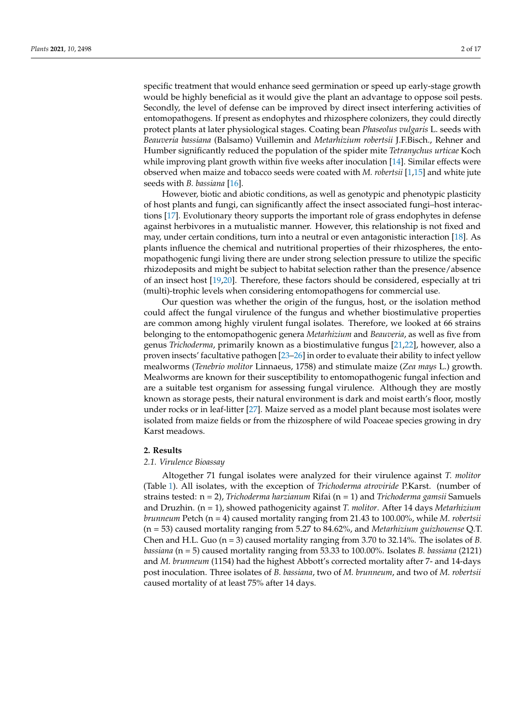specific treatment that would enhance seed germination or speed up early-stage growth would be highly beneficial as it would give the plant an advantage to oppose soil pests. Secondly, the level of defense can be improved by direct insect interfering activities of entomopathogens. If present as endophytes and rhizosphere colonizers, they could directly protect plants at later physiological stages. Coating bean *Phaseolus vulgaris* L. seeds with *Beauveria bassiana* (Balsamo) Vuillemin and *Metarhizium robertsii* J.F.Bisch., Rehner and Humber significantly reduced the population of the spider mite *Tetranychus urticae* Koch while improving plant growth within five weeks after inoculation [\[14\]](#page-14-12). Similar effects were observed when maize and tobacco seeds were coated with *M. robertsii* [\[1,](#page-14-0)[15\]](#page-14-13) and white jute seeds with *B. bassiana* [\[16\]](#page-14-14).

However, biotic and abiotic conditions, as well as genotypic and phenotypic plasticity of host plants and fungi, can significantly affect the insect associated fungi–host interactions [\[17\]](#page-14-15). Evolutionary theory supports the important role of grass endophytes in defense against herbivores in a mutualistic manner. However, this relationship is not fixed and may, under certain conditions, turn into a neutral or even antagonistic interaction [\[18\]](#page-15-0). As plants influence the chemical and nutritional properties of their rhizospheres, the entomopathogenic fungi living there are under strong selection pressure to utilize the specific rhizodeposits and might be subject to habitat selection rather than the presence/absence of an insect host [\[19,](#page-15-1)[20\]](#page-15-2). Therefore, these factors should be considered, especially at tri (multi)-trophic levels when considering entomopathogens for commercial use.

Our question was whether the origin of the fungus, host, or the isolation method could affect the fungal virulence of the fungus and whether biostimulative properties are common among highly virulent fungal isolates. Therefore, we looked at 66 strains belonging to the entomopathogenic genera *Metarhizium* and *Beauveria*, as well as five from genus *Trichoderma*, primarily known as a biostimulative fungus [\[21,](#page-15-3)[22\]](#page-15-4), however, also a proven insects' facultative pathogen [\[23–](#page-15-5)[26\]](#page-15-6) in order to evaluate their ability to infect yellow mealworms (*Tenebrio molitor* Linnaeus, 1758) and stimulate maize (*Zea mays* L.) growth. Mealworms are known for their susceptibility to entomopathogenic fungal infection and are a suitable test organism for assessing fungal virulence. Although they are mostly known as storage pests, their natural environment is dark and moist earth's floor, mostly under rocks or in leaf-litter [\[27\]](#page-15-7). Maize served as a model plant because most isolates were isolated from maize fields or from the rhizosphere of wild Poaceae species growing in dry Karst meadows.

# **2. Results**

#### *2.1. Virulence Bioassay*

Altogether 71 fungal isolates were analyzed for their virulence against *T. molitor* (Table [1\)](#page-3-0). All isolates, with the exception of *Trichoderma atroviride* P.Karst. (number of strains tested: n = 2), *Trichoderma harzianum* Rifai (n = 1) and *Trichoderma gamsii* Samuels and Druzhin. (n = 1), showed pathogenicity against *T. molitor*. After 14 days *Metarhizium brunneum* Petch (n = 4) caused mortality ranging from 21.43 to 100.00%, while *M. robertsii* (n = 53) caused mortality ranging from 5.27 to 84.62%, and *Metarhizium guizhouense* Q.T. Chen and H.L. Guo (n = 3) caused mortality ranging from 3.70 to 32.14%. The isolates of *B. bassiana* (n = 5) caused mortality ranging from 53.33 to 100.00%. Isolates *B. bassiana* (2121) and *M. brunneum* (1154) had the highest Abbott's corrected mortality after 7- and 14-days post inoculation. Three isolates of *B. bassiana*, two of *M. brunneum*, and two of *M. robertsii* caused mortality of at least 75% after 14 days.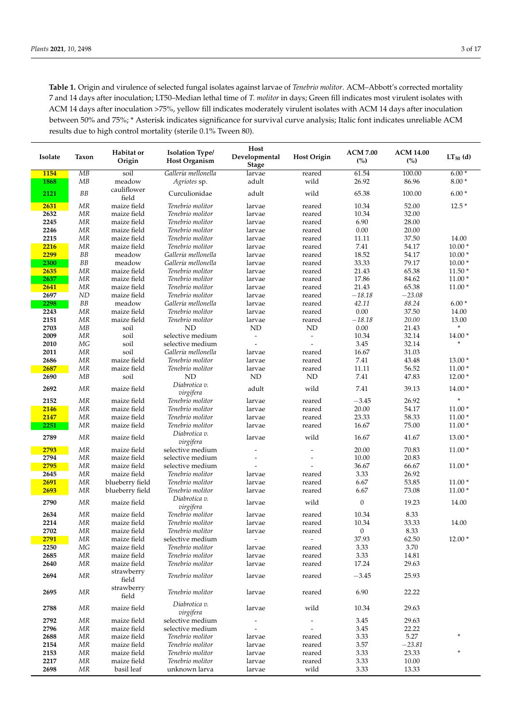**Table 1.** Origin and virulence of selected fungal isolates against larvae of *Tenebrio molitor*. ACM–Abbott's corrected mortality 7 and 14 days after inoculation; LT50–Median lethal time of *T. molitor* in days; Green fill indicates most virulent isolates with ACM 14 days after inoculation >75%, yellow fill indicates moderately virulent isolates with ACM 14 days after inoculation between 50% and 75%; \* Asterisk indicates significance for survival curve analysis; Italic font indicates unreliable ACM results due to high control mortality (sterile 0.1% Tween 80).

| Isolate      | Taxon                            | Habitat or<br>Origin       | <b>Isolation Type/</b><br><b>Host Organism</b> | Host<br>Developmental    | <b>Host Origin</b>           | <b>ACM 7.00</b><br>(%) | <b>ACM 14.00</b><br>(%) | $LT_{50}$ (d) |
|--------------|----------------------------------|----------------------------|------------------------------------------------|--------------------------|------------------------------|------------------------|-------------------------|---------------|
|              |                                  |                            |                                                | <b>Stage</b>             |                              |                        |                         |               |
| 1154         | MB                               | soil                       | Galleria mellonella                            | larvae                   | reared                       | 61.54                  | 100.00                  | $6.00*$       |
| 1868         | MB                               | meadow<br>cauliflower      | Agriotes sp.                                   | adult                    | wild                         | 26.92                  | 86.96                   | $8.00*$       |
| 2121         | ${\cal B}{\cal B}$               | field                      | Curculionidae                                  | adult                    | wild                         | 65.38                  | 100.00                  | $6.00*$       |
| 2631         | MR                               | maize field                | Tenebrio molitor                               | larvae                   | reared                       | 10.34                  | 52.00                   | $12.5*$       |
| 2632         | $\ensuremath{\mathit{MR}}$       | maize field                | Tenebrio molitor                               | larvae                   | reared                       | 10.34                  | 32.00                   |               |
| 2245         | MR                               | maize field                | Tenebrio molitor                               | larvae                   | reared                       | 6.90                   | 28.00                   |               |
| 2246         | <b>MR</b>                        | maize field                | Tenebrio molitor                               | larvae                   | reared                       | 0.00                   | 20.00                   |               |
| 2215         | MR                               | maize field                | Tenebrio molitor                               | larvae                   | reared                       | 11.11                  | 37.50                   | 14.00         |
| 2216         | <b>MR</b>                        | maize field                | Tenebrio molitor                               | larvae                   | reared                       | 7.41                   | 54.17                   | $10.00*$      |
| 2299         | ${\cal B}{\cal B}$               | meadow                     | Galleria mellonella                            | larvae                   | reared                       | 18.52                  | 54.17                   | $10.00*$      |
| 2300         | ${\cal B}{\cal B}$               | meadow                     | Galleria mellonella                            | larvae                   | reared                       | 33.33                  | 79.17                   | $10.00*$      |
| 2635         | <b>MR</b>                        | maize field                | Tenebrio molitor                               | larvae                   | reared                       | 21.43                  | 65.38                   | $11.50*$      |
| 2637         | MR                               | maize field                | Tenebrio molitor                               | larvae                   | reared                       | 17.86                  | 84.62                   | $11.00*$      |
| 2641<br>2697 | MR<br>ND                         | maize field<br>maize field | Tenebrio molitor<br>Tenebrio molitor           | larvae<br>larvae         | reared<br>reared             | 21.43<br>$-18.18$      | 65.38<br>$-23.08$       | $11.00*$      |
| 2298         | ${\cal B}{\cal B}$               | meadow                     | Galleria mellonella                            | larvae                   | reared                       | 42.11                  | 88.24                   | $6.00*$       |
| 2243         | MR                               | maize field                | Tenebrio molitor                               | larvae                   | reared                       | $0.00\,$               | 37.50                   | 14.00         |
| 2151         | MR                               | maize field                | Tenebrio molitor                               | larvae                   | reared                       | $-18.18$               | 20.00                   | 13.00         |
| 2703         | MB                               | soil                       | ND                                             | <b>ND</b>                | <b>ND</b>                    | 0.00                   | 21.43                   |               |
| 2009         | <b>MR</b>                        | soil                       | selective medium                               | $\overline{\phantom{a}}$ | $\overline{a}$               | 10.34                  | 32.14                   | $14.00*$      |
| 2010         | MG                               | soil                       | selective medium                               | $\overline{a}$           |                              | 3.45                   | 32.14                   |               |
| 2011         | MR                               | soil                       | Galleria mellonella                            | larvae                   | reared                       | 16.67                  | 31.03                   |               |
| 2686         | MR                               | maize field                | Tenebrio molitor                               | larvae                   | reared                       | 7.41                   | 43.48                   | $13.00*$      |
| 2687         | $\ensuremath{\mathit{MR}}$       | maize field                | Tenebrio molitor                               | larvae                   | reared                       | 11.11                  | 56.52                   | $11.00*$      |
| 2690         | MB                               | soil                       | ND                                             | <b>ND</b>                | ND                           | 7.41                   | 47.83                   | $12.00*$      |
| 2692         | MR                               | maize field                | Diabrotica v.<br>virgifera                     | adult                    | wild                         | 7.41                   | 39.13                   | $14.00*$      |
| 2152         | MR                               | maize field                | Tenebrio molitor                               | larvae                   | reared                       | $-3.45$                | 26.92                   | ×             |
| 2146         | MR                               | maize field                | Tenebrio molitor                               | larvae                   | reared                       | 20.00                  | 54.17                   | $11.00*$      |
| 2147         | MR                               | maize field                | Tenebrio molitor                               | larvae                   | reared                       | 23.33                  | 58.33                   | $11.00*$      |
| 2251         | MR                               | maize field                | Tenebrio molitor<br>Diabrotica v.              | larvae                   | reared                       | 16.67                  | 75.00                   | $11.00*$      |
| 2789         | $\ensuremath{\mathit{MR}}$       | maize field                | virgifera                                      | larvae                   | wild                         | 16.67                  | 41.67                   | $13.00*$      |
| 2793         | MR                               | maize field                | selective medium                               |                          |                              | 20.00                  | 70.83                   | $11.00*$      |
| 2794         | MR                               | maize field                | selective medium                               |                          |                              | 10.00                  | 20.83                   |               |
| 2795<br>2645 | MR<br>MR                         | maize field<br>maize field | selective medium<br>Tenebrio molitor           |                          |                              | 36.67<br>3.33          | 66.67<br>26.92          | $11.00*$      |
| 2691         | MR                               | blueberry field            | Tenebrio molitor                               | larvae<br>larvae         | reared<br>reared             | 6.67                   | 53.85                   | $11.00*$      |
| 2693         | <b>MR</b>                        | blueberry field            | Tenebrio molitor                               | larvae                   | reared                       | 6.67                   | 73.08                   | $11.00*$      |
|              |                                  |                            | Diabrotica v.                                  |                          |                              |                        |                         |               |
| 2790         | MR                               | maize field                | virgifera                                      | larvae                   | wild                         | $\boldsymbol{0}$       | 19.23                   | 14.00         |
| 2634<br>2214 | MR<br>ΜR                         | maize field<br>maize field | Tenebrio molitor<br>Tenebrio molitor           | larvae<br>larvae         | reared<br>reared             | 10.34<br>10.34         | 8.33<br>33.33           | 14.00         |
| 2702         | MR                               | maize field                | Tenebrio molitor                               | larvae                   | reared                       | $\mathbf{0}$           | 8.33                    |               |
| 2791         | MR                               | maize field                | selective medium                               | $\overline{\phantom{a}}$ | $\qquad \qquad \blacksquare$ | 37.93                  | 62.50                   | $12.00*$      |
| 2250         | МG                               | maize field                | Tenebrio molitor                               | larvae                   | reared                       | 3.33                   | 3.70                    |               |
| 2685         | MR                               | maize field                | Tenebrio molitor                               | larvae                   | reared                       | 3.33                   | 14.81                   |               |
| 2640         | MR                               | maize field                | Tenebrio molitor                               | larvae                   | reared                       | 17.24                  | 29.63                   |               |
| 2694         | $\ensuremath{\mathit{MR}}$       | strawberry<br>field        | Tenebrio molitor                               | larvae                   | reared                       | $-3.45$                | 25.93                   |               |
| 2695         | MR                               | strawberry<br>field        | Tenebrio molitor                               | larvae                   | reared                       | 6.90                   | 22.22                   |               |
| 2788         | MR                               | maize field                | Diabrotica v.                                  | larvae                   | wild                         | 10.34                  | 29.63                   |               |
|              |                                  |                            | virgifera                                      |                          |                              |                        |                         |               |
| 2792<br>2796 | MR<br>$\ensuremath{\mathit{MR}}$ | maize field<br>maize field | selective medium<br>selective medium           |                          |                              | 3.45<br>3.45           | 29.63<br>22.22          |               |
| 2688         | MR                               | maize field                | Tenebrio molitor                               | larvae                   | reared                       | 3.33                   | 5.27                    |               |
| 2154         | MR                               | maize field                | Tenebrio molitor                               | larvae                   | reared                       | 3.57                   | $-23.81$                |               |
| 2153         | MR                               | maize field                | Tenebrio molitor                               | larvae                   | reared                       | 3.33                   | 23.33                   | *             |
| 2217         | MR                               | maize field                | Tenebrio molitor                               | larvae                   | reared                       | 3.33                   | 10.00                   |               |
| 2698         | MR                               | basil leaf                 | unknown larva                                  | larvae                   | wild                         | 3.33                   | 13.33                   |               |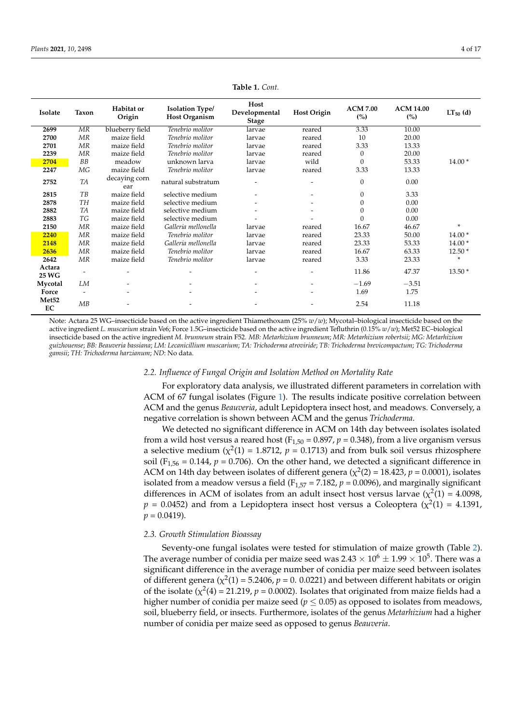<span id="page-3-0"></span>

| Isolate                 | Taxon     | Habitat or<br>Origin | <b>Isolation Type/</b><br><b>Host Organism</b> | Host<br>Developmental<br><b>Stage</b> | <b>Host Origin</b> | <b>ACM 7.00</b><br>(%) | <b>ACM 14.00</b><br>(%) | $LT_{50}$ (d) |
|-------------------------|-----------|----------------------|------------------------------------------------|---------------------------------------|--------------------|------------------------|-------------------------|---------------|
| 2699                    | MR        | blueberry field      | Tenebrio molitor                               | larvae                                | reared             | 3.33                   | 10.00                   |               |
| 2700                    | MR        | maize field          | Tenebrio molitor                               | larvae                                | reared             | 10                     | 20.00                   |               |
| 2701                    | MR        | maize field          | Tenebrio molitor                               | larvae                                | reared             | 3.33                   | 13.33                   |               |
| 2239                    | MR        | maize field          | Tenebrio molitor                               | larvae                                | reared             | 0                      | 20.00                   |               |
| 2704                    | <b>BB</b> | meadow               | unknown larva                                  | larvae                                | wild               | $\Omega$               | 53.33                   | $14.00*$      |
| 2247                    | МG        | maize field          | Tenebrio molitor                               | larvae                                | reared             | 3.33                   | 13.33                   |               |
| 2752                    | <b>TA</b> | decaying corn<br>ear | natural substratum                             |                                       |                    | $\theta$               | 0.00                    |               |
| 2815                    | TB        | maize field          | selective medium                               |                                       |                    | $\mathbf{0}$           | 3.33                    |               |
| 2878                    | TH        | maize field          | selective medium                               |                                       |                    | 0                      | 0.00                    |               |
| 2882                    | TA        | maize field          | selective medium                               |                                       |                    | $\Omega$               | 0.00                    |               |
| 2883                    | ТG        | maize field          | selective medium                               |                                       |                    | $\Omega$               | 0.00                    |               |
| 2150                    | MR        | maize field          | Galleria mellonella                            | larvae                                | reared             | 16.67                  | 46.67                   | $\ast$        |
| 2240                    | MR        | maize field          | Tenebrio molitor                               | larvae                                | reared             | 23.33                  | 50.00                   | $14.00*$      |
| 2148                    | MR        | maize field          | Galleria mellonella                            | larvae                                | reared             | 23.33                  | 53.33                   | $14.00*$      |
| 2636                    | MR        | maize field          | Tenebrio molitor                               | larvae                                | reared             | 16.67                  | 63.33                   | $12.50*$      |
| 2642                    | MR        | maize field          | Tenebrio molitor                               | larvae                                | reared             | 3.33                   | 23.33                   | *             |
| Actara<br>25 WG         |           |                      |                                                |                                       |                    | 11.86                  | 47.37                   | $13.50*$      |
| Mycotal                 | LM        |                      |                                                |                                       |                    | $-1.69$                | $-3.51$                 |               |
| Force                   |           |                      |                                                |                                       |                    | 1.69                   | 1.75                    |               |
| Met <sub>52</sub><br>EC | MB        |                      |                                                |                                       |                    | 2.54                   | 11.18                   |               |

**Table 1.** *Cont.*

Note: Actara 25 WG–insecticide based on the active ingredient Thiamethoxam (25% *w*/*w*); Mycotal–biological insecticide based on the active ingredient *L. muscarium* strain Ve6; Force 1.5G–insecticide based on the active ingredient Tefluthrin (0.15% *w*/*w*); Met52 EC–biological insecticide based on the active ingredient *M. brunneum* strain F52. *MB: Metarhizium brunneum*; *MR: Metarhizium robertsii*; *MG: Metarhizium guizhouense*; *BB: Beauveria bassiana*; *LM: Lecanicillium muscarium*; *TA: Trichoderma atroviride*; *TB: Trichoderma brevicompactum*; *TG: Trichoderma gamsii*; *TH: Trichoderma harzianum*; *ND*: No data.

## *2.2. Influence of Fungal Origin and Isolation Method on Mortality Rate*

For exploratory data analysis, we illustrated different parameters in correlation with ACM of 67 fungal isolates (Figure [1\)](#page-4-0). The results indicate positive correlation between ACM and the genus *Beauveria*, adult Lepidoptera insect host, and meadows. Conversely, a negative correlation is shown between ACM and the genus *Trichoderma.*

We detected no significant difference in ACM on 14th day between isolates isolated from a wild host versus a reared host  $(F_{1,50} = 0.897, p = 0.348)$ , from a live organism versus a selective medium ( $\chi^2(1)$  = 1.8712,  $p$  = 0.1713) and from bulk soil versus rhizosphere soil ( $F_{1,56}$  = 0.144,  $p$  = 0.706). On the other hand, we detected a significant difference in ACM on 14th day between isolates of different genera ( $\chi^2(2) = 18.423$ ,  $p = 0.0001$ ), isolates isolated from a meadow versus a field ( $F_{1,57} = 7.182$ ,  $p = 0.0096$ ), and marginally significant differences in ACM of isolates from an adult insect host versus larvae ( $\chi^2(1) = 4.0098$ ,  $p = 0.0452$ ) and from a Lepidoptera insect host versus a Coleoptera ( $\chi^2(1) = 4.1391$ ,  $p = 0.0419$ .

# *2.3. Growth Stimulation Bioassay*

Seventy-one fungal isolates were tested for stimulation of maize growth (Table [2\)](#page-6-0). The average number of conidia per maize seed was 2.43  $\times$   $10^6 \pm 1.99 \times 10^5.$  There was a significant difference in the average number of conidia per maize seed between isolates of different genera ( $\chi^2(1)$  = 5.2406,  $p$  = 0. 0.0221) and between different habitats or origin of the isolate  $(\chi^2(4) = 21.219, p = 0.0002)$ . Isolates that originated from maize fields had a higher number of conidia per maize seed ( $p \leq 0.05$ ) as opposed to isolates from meadows, soil, blueberry field, or insects. Furthermore, isolates of the genus *Metarhizium* had a higher number of conidia per maize seed as opposed to genus *Beauveria*.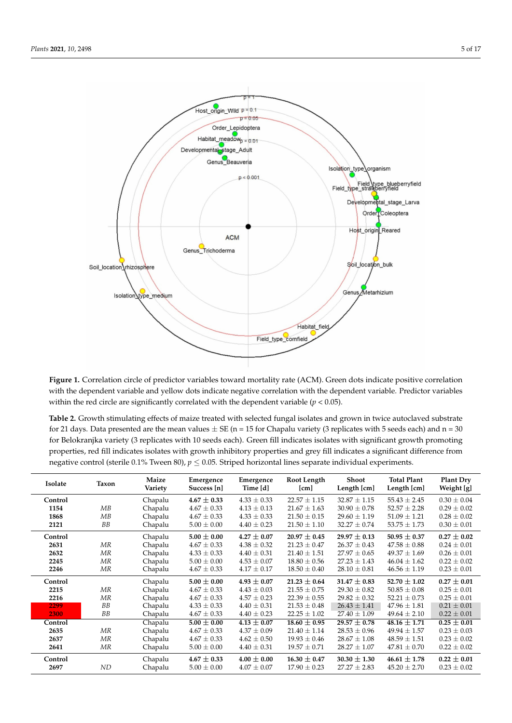<span id="page-4-0"></span>

**Figure 1.** Correlation circle of predictor variables toward mortality rate (ACM). Green dots indicate positive correlation with the dependent variable and yellow dots indicate negative correlation with the dependent variable. Predictor variables within the red circle are significantly correlated with the dependent variable (*p* < 0.05).

| <b>Table 2.</b> Growth stimulating effects of maize treated with selected fungal isolates and grown in twice autoclaved substrate |
|-----------------------------------------------------------------------------------------------------------------------------------|
| for 21 days. Data presented are the mean values $\pm$ SE (n = 15 for Chapalu variety (3 replicates with 5 seeds each) and n = 30  |
| for Belokranjka variety (3 replicates with 10 seeds each). Green fill indicates isolates with significant growth promoting        |
| properties, red fill indicates isolates with growth inhibitory properties and grey fill indicates a significant difference from   |
| negative control (sterile 0.1% Tween 80), $p \le 0.05$ . Striped horizontal lines separate individual experiments.                |

| Isolate | Taxon     | Maize<br>Variety | Emergence<br>Success [n] | Emergence<br>Time [d] | Root Length<br>[cm] | <b>Shoot</b><br>Length [cm] | <b>Total Plant</b><br>Length [cm] | Plant Dry<br>Weight [g] |
|---------|-----------|------------------|--------------------------|-----------------------|---------------------|-----------------------------|-----------------------------------|-------------------------|
| Control |           | Chapalu          | $4.67 \pm 0.33$          | $4.33 \pm 0.33$       | $22.57 \pm 1.15$    | $32.87 \pm 1.15$            | $55.43 \pm 2.45$                  | $0.30 \pm 0.04$         |
| 1154    | MB        | Chapalu          | $4.67 \pm 0.33$          | $4.13 \pm 0.13$       | $21.67 \pm 1.63$    | $30.90 \pm 0.78$            | $52.57 \pm 2.28$                  | $0.29 \pm 0.02$         |
| 1868    | MB        | Chapalu          | $4.67 \pm 0.33$          | $4.33 \pm 0.33$       | $21.50 \pm 0.15$    | $29.60 \pm 1.19$            | $51.09 \pm 1.21$                  | $0.28 \pm 0.02$         |
| 2121    | BB        | Chapalu          | $5.00 \pm 0.00$          | $4.40 \pm 0.23$       | $21.50 \pm 1.10$    | $32.27 \pm 0.74$            | $53.75 \pm 1.73$                  | $0.30 \pm 0.01$         |
| Control |           | Chapalu          | $5.00 \pm 0.00$          | $4.27 \pm 0.07$       | $20.97 \pm 0.45$    | $29.97 \pm 0.13$            | $50.95 \pm 0.37$                  | $0.27 \pm 0.02$         |
| 2631    | MR        | Chapalu          | $4.67 \pm 0.33$          | $4.38 \pm 0.32$       | $21.23 \pm 0.47$    | $26.37 \pm 0.43$            | $47.58 \pm 0.88$                  | $0.24 \pm 0.01$         |
| 2632    | ΜR        | Chapalu          | $4.33 \pm 0.33$          | $4.40 \pm 0.31$       | $21.40 \pm 1.51$    | $27.97 \pm 0.65$            | $49.37 \pm 1.69$                  | $0.26 \pm 0.01$         |
| 2245    | ΜR        | Chapalu          | $5.00 \pm 0.00$          | $4.53 \pm 0.07$       | $18.80 \pm 0.56$    | $27.23 \pm 1.43$            | $46.04 \pm 1.62$                  | $0.22 \pm 0.02$         |
| 2246    | MR        | Chapalu          | $4.67 \pm 0.33$          | $4.17 \pm 0.17$       | $18.50 \pm 0.40$    | $28.10 \pm 0.81$            | $46.56 \pm 1.19$                  | $0.23 \pm 0.01$         |
| Control |           | Chapalu          | $5.00 \pm 0.00$          | $4.93 \pm 0.07$       | $21.23 \pm 0.64$    | $31.47 \pm 0.83$            | 52.70 $\pm$ 1.02                  | $0.27 \pm 0.01$         |
| 2215    | MR        | Chapalu          | $4.67 \pm 0.33$          | $4.43 \pm 0.03$       | $21.55 \pm 0.75$    | $29.30 \pm 0.82$            | $50.85 \pm 0.08$                  | $0.25 \pm 0.01$         |
| 2216    | ΜR        | Chapalu          | $4.67 \pm 0.33$          | $4.57 \pm 0.23$       | $22.39 \pm 0.55$    | $29.82 \pm 0.32$            | $52.21 \pm 0.73$                  | $0.25 \pm 0.01$         |
| 2299    | <b>BB</b> | Chapalu          | $4.33 \pm 0.33$          | $4.40 \pm 0.31$       | $21.53 \pm 0.48$    | $26.43 \pm 1.41$            | $47.96 \pm 1.81$                  | $0.21 \pm 0.01$         |
| 2300    | <b>BB</b> | Chapalu          | $4.67 \pm 0.33$          | $4.40 \pm 0.23$       | $22.25 \pm 1.02$    | $27.40 \pm 1.09$            | $49.64 \pm 2.10$                  | $0.22 \pm 0.01$         |
| Control |           | Chapalu          | $5.00 \pm 0.00$          | $4.13 \pm 0.07$       | $18.60 \pm 0.95$    | $29.57 \pm 0.78$            | $48.16 \pm 1.71$                  | $0.25 \pm 0.01$         |
| 2635    | MR        | Chapalu          | $4.67 \pm 0.33$          | $4.37 \pm 0.09$       | $21.40 \pm 1.14$    | $28.53 \pm 0.96$            | $49.94 \pm 1.57$                  | $0.23 \pm 0.03$         |
| 2637    | MR        | Chapalu          | $4.67 \pm 0.33$          | $4.62 \pm 0.50$       | $19.93 \pm 0.46$    | $28.67 \pm 1.08$            | $48.59 \pm 1.51$                  | $0.23 \pm 0.02$         |
| 2641    | MR        | Chapalu          | $5.00 \pm 0.00$          | $4.40 \pm 0.31$       | $19.57 \pm 0.71$    | $28.27 \pm 1.07$            | $47.81 \pm 0.70$                  | $0.22 \pm 0.02$         |
| Control |           | Chapalu          | $4.67 \pm 0.33$          | $4.00 \pm 0.00$       | $16.30 \pm 0.47$    | $30.30 \pm 1.30$            | $46.61 \pm 1.78$                  | $0.22 \pm 0.01$         |
| 2697    | ND        | Chapalu          | $5.00 \pm 0.00$          | $4.07 \pm 0.07$       | $17.90 \pm 0.23$    | $27.27 \pm 2.83$            | $45.20 \pm 2.70$                  | $0.23 \pm 0.02$         |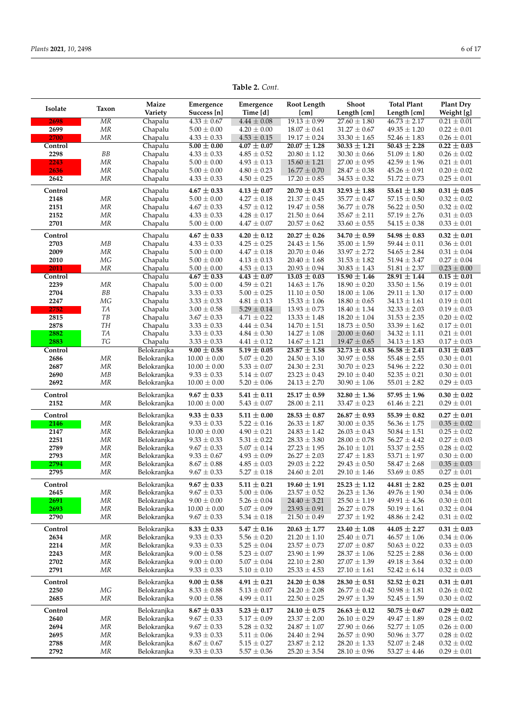|         |                    | Maize       | Emergence        | Emergence       | Root Length      | <b>Shoot</b>     | <b>Total Plant</b> | <b>Plant Dry</b>       |
|---------|--------------------|-------------|------------------|-----------------|------------------|------------------|--------------------|------------------------|
| Isolate | Taxon              | Variety     | Success [n]      | Time [d]        | [cm]             | Length [cm]      | Length [cm]        | Weight [g]             |
| 2698    | ΜR                 | Chapalu     | $4.33 \pm 0.67$  | $4.44 \pm 0.08$ | $19.13 \pm 0.99$ | $27.60 \pm 1.80$ | $46.73 \pm 2.17$   | $0.21 \pm 0.01$        |
|         |                    |             |                  |                 |                  |                  |                    |                        |
| 2699    | ΜR                 | Chapalu     | $5.00 \pm 0.00$  | $4.20 \pm 0.00$ | $18.07 \pm 0.61$ | $31.27 \pm 0.67$ | $49.35 \pm 1.20$   | $0.22 \pm 0.01$        |
| 2700    | MR                 | Chapalu     | $4.33 \pm 0.33$  | $4.53 \pm 0.15$ | $19.17 \pm 0.24$ | $33.30 \pm 1.65$ | $52.46 \pm 1.83$   | $0.26 \pm 0.01$        |
| Control |                    | Chapalu     | $5.00 \pm 0.00$  | $4.07 \pm 0.07$ | $20.07 \pm 1.28$ | $30.33 \pm 1.21$ | $50.43 \pm 2.28$   | $\sqrt{0.22 \pm 0.03}$ |
| 2298    | ${\cal B}{\cal B}$ | Chapalu     | $4.33 \pm 0.33$  | $4.85 \pm 0.52$ | $20.80 \pm 1.12$ | $30.30 \pm 0.66$ | $51.09 \pm 1.80$   | $0.26 \pm 0.02$        |
| 2243    | MR                 | Chapalu     | $5.00 \pm 0.00$  | $4.93 \pm 0.13$ | $15.60 \pm 1.21$ | $27.00 \pm 0.95$ | $42.59 \pm 1.96$   | $0.21 \pm 0.01$        |
|         |                    |             |                  |                 |                  |                  |                    |                        |
| 2636    | ΜR                 | Chapalu     | $5.00 \pm 0.00$  | $4.80 \pm 0.23$ | $16.77 \pm 0.70$ | $28.47 \pm 0.38$ | $45.26 \pm 0.91$   | $0.20 \pm 0.02$        |
| 2642    | MR                 | Chapalu     | $4.33 \pm 0.33$  | $4.50 \pm 0.25$ | $17.20 \pm 0.85$ | $34.53\pm0.32$   | $51.72\pm0.73$     | $0.25 \pm 0.01$        |
| Control |                    | Chapalu     | $4.67 \pm 0.33$  | $4.13 \pm 0.07$ | $20.70 \pm 0.31$ | $32.93 \pm 1.88$ | 53.61 $\pm$ 1.80   | $0.31 \pm 0.05$        |
|         |                    |             |                  |                 |                  |                  |                    |                        |
| 2148    | MR                 | Chapalu     | $5.00 \pm 0.00$  | $4.27 \pm 0.18$ | $21.37 \pm 0.45$ | $35.77 \pm 0.47$ | $57.15 \pm 0.50$   | $0.32 \pm 0.02$        |
| 2151    | MR                 | Chapalu     | $4.67 \pm 0.33$  | $4.57 \pm 0.12$ | $19.47 \pm 0.58$ | $36.77 \pm 0.78$ | $56.22 \pm 0.50$   | $0.32 \pm 0.02$        |
| 2152    | ΜR                 | Chapalu     | $4.33 \pm 0.33$  | $4.28 \pm 0.17$ | $21.50 \pm 0.64$ | $35.67 \pm 2.11$ | $57.19 \pm 2.76$   | $0.31 \pm 0.03$        |
| 2701    | ΜR                 | Chapalu     | $5.00 \pm 0.00$  | $4.47 \pm 0.07$ | $20.57 \pm 0.62$ | $33.60 \pm 0.55$ | $54.15 \pm 0.38$   | $0.33 \pm 0.01$        |
|         |                    |             |                  |                 |                  |                  |                    |                        |
| Control |                    | Chapalu     | $4.67 \pm 0.33$  | $4.20 \pm 0.12$ | $20.27 \pm 0.26$ | 34.70 $\pm$ 0.59 | $54.98 \pm 0.83$   | $0.32 \pm 0.01$        |
| 2703    | MB                 | Chapalu     | $4.33 \pm 0.33$  | $4.25 \pm 0.25$ | $24.43 \pm 1.56$ | $35.00 \pm 1.59$ | $59.44 \pm 0.11$   | $0.36 \pm 0.01$        |
| 2009    | MR                 | Chapalu     | $5.00 \pm 0.00$  | $4.47 \pm 0.18$ | $20.70 \pm 0.46$ | $33.97 \pm 2.72$ | $54.65 \pm 2.84$   | $0.31 \pm 0.04$        |
| 2010    | МG                 | Chapalu     | $5.00 \pm 0.00$  | $4.13 \pm 0.13$ | $20.40 \pm 1.68$ | $31.53 \pm 1.82$ | $51.94 \pm 3.47$   | $0.27 \pm 0.04$        |
|         |                    |             |                  |                 |                  |                  |                    |                        |
| 2011    | ΜR                 | Chapalu     | $5.00 \pm 0.00$  | $4.53 \pm 0.13$ | $20.93 \pm 0.94$ | $30.83 \pm 1.43$ | $51.81 \pm 2.37$   | $0.23 \pm 0.00$        |
| Control |                    | Chapalu     | $4.67 \pm 0.33$  | $4.43 \pm 0.07$ | $13.03 \pm 0.03$ | $15.90 \pm 1.46$ | $28.91 \pm 1.44$   | $0.15 \pm 0.01$        |
| 2239    | MR                 | Chapalu     | $5.00 \pm 0.00$  | $4.59 \pm 0.21$ | $14.63 \pm 1.76$ | $18.90 \pm 0.20$ | $33.50 \pm 1.56$   | $0.19 \pm 0.01$        |
| 2704    | BB                 | Chapalu     | $3.33 \pm 0.33$  | $5.00 \pm 0.25$ | $11.10 \pm 0.50$ | $18.00 \pm 1.06$ | $29.11 \pm 1.30$   | $0.17 \pm 0.00$        |
| 2247    | MG                 | Chapalu     | $3.33 \pm 0.33$  | $4.81 \pm 0.13$ | $15.33 \pm 1.06$ | $18.80 \pm 0.65$ | $34.13 \pm 1.61$   | $0.19 \pm 0.01$        |
|         | TA                 | Chapalu     |                  |                 |                  |                  |                    | $0.19 \pm 0.03$        |
| 2752    |                    |             | $3.00 \pm 0.58$  | $5.29 \pm 0.14$ | $13.93 \pm 0.73$ | $18.40 \pm 1.34$ | $32.33 \pm 2.03$   |                        |
| 2815    | TB                 | Chapalu     | $3.67 \pm 0.33$  | $4.71 \pm 0.22$ | $13.33 \pm 1.48$ | $18.20 \pm 1.04$ | $31.53 \pm 2.35$   | $0.20 \pm 0.02$        |
| 2878    | <b>TH</b>          | Chapalu     | $3.33 \pm 0.33$  | $4.44 \pm 0.34$ | $14.70 \pm 1.51$ | $18.73 \pm 0.50$ | $33.39 \pm 1.62$   | $0.17 \pm 0.01$        |
| 2882    | TA                 | Chapalu     | $3.33 \pm 0.33$  | $4.84 \pm 0.30$ | $14.27 \pm 1.08$ | $20.00 \pm 0.60$ | $34.32 \pm 1.11$   | $0.21 \pm 0.01$        |
| 2883    | TG                 | Chapalu     | $3.33 \pm 0.33$  | $4.41 \pm 0.12$ | $14.67 \pm 1.21$ | $19.47 \pm 0.65$ | $34.13 \pm 1.83$   | $0.17 \pm 0.03$        |
| Control |                    | Belokranjka | $9.00 \pm 0.58$  | $5.19 \pm 0.05$ | $23.87 \pm 1.58$ | $32.73 \pm 0.83$ | $56.58 \pm 2.41$   | $0.31 \pm 0.03$        |
| 2686    | MR                 | Belokranjka | $10.00 \pm 0.00$ | $5.07 \pm 0.20$ | $24.50 \pm 3.10$ | $30.97 \pm 0.58$ | $55.48 \pm 2.55$   | $0.30 \pm 0.01$        |
|         |                    |             |                  |                 |                  |                  |                    |                        |
| 2687    | MR                 | Belokranjka | $10.00 \pm 0.00$ | $5.33 \pm 0.07$ | $24.30 \pm 2.31$ | $30.70 \pm 0.23$ | $54.96 \pm 2.22$   | $0.30 \pm 0.01$        |
| 2690    | MB                 | Belokranjka | $9.33 \pm 0.33$  | $5.14 \pm 0.07$ | $23.23 \pm 0.43$ | $29.10 \pm 0.40$ | $52.35 \pm 0.21$   | $0.30 \pm 0.01$        |
| 2692    | MR                 | Belokranjka | $10.00 \pm 0.00$ | $5.20 \pm 0.06$ | $24.13 \pm 2.70$ | $30.90 \pm 1.06$ | $55.01 \pm 2.82$   | $0.29 \pm 0.03$        |
|         |                    |             |                  |                 |                  |                  |                    |                        |
| Control |                    | Belokranjka | $9.67 \pm 0.33$  | $5.41 \pm 0.11$ | $25.17 \pm 0.59$ | $32.80 \pm 1.36$ | $57.95 \pm 1.96$   | $0.30 \pm 0.02$        |
| 2152    | MR                 | Belokranjka | $10.00 \pm 0.00$ | $5.43 \pm 0.07$ | $28.00 \pm 2.11$ | $33.47 \pm 0.23$ | $61.46 \pm 2.21$   | $0.29 \pm 0.01$        |
|         |                    |             |                  |                 |                  |                  |                    |                        |
| Control |                    | Belokranjka | $9.33 \pm 0.33$  | $5.11 \pm 0.00$ | $28.53 \pm 0.87$ | $26.87 \pm 0.93$ | $55.39\pm0.82$     | $0.27\pm0.01$          |
| 2146    | MR                 | Belokranjka | $9.33 \pm 0.33$  | $5.22 \pm 0.16$ | $26.33 \pm 1.87$ | $30.00 \pm 0.35$ | $56.36 \pm 1.75$   | $0.35 \pm 0.02$        |
| 2147    | MR                 | Belokranjka | $10.00 \pm 0.00$ | $4.90 \pm 0.21$ | $24.83 \pm 1.42$ | $26.03 \pm 0.43$ | $50.84 \pm 1.51$   | $0.25 \pm 0.02$        |
| 2251    | ΜR                 | Belokranjka | $9.33 \pm 0.33$  | $5.31 \pm 0.22$ | $28.33 \pm 3.80$ | $28.00 \pm 0.78$ | $56.27 \pm 4.42$   | $0.27 \pm 0.03$        |
| 2789    | ΜR                 | Belokranjka | $9.67 \pm 0.33$  | $5.07 \pm 0.14$ | $27.23 \pm 1.95$ | $26.10 \pm 1.01$ | $53.37 \pm 2.55$   | $0.28 \pm 0.02$        |
| 2793    | ΜR                 | Belokranjka | $9.33 \pm 0.67$  | $4.93 \pm 0.09$ | $26.27 \pm 2.03$ | $27.47 \pm 1.83$ | $53.71 \pm 1.97$   | $0.30 \pm 0.00$        |
| 2794    | ΜR                 | Belokranjka | $8.67 \pm 0.88$  | $4.85 \pm 0.03$ | $29.03 \pm 2.22$ | $29.43 \pm 0.50$ | $58.47 \pm 2.68$   | $0.35 \pm 0.03$        |
|         |                    |             |                  |                 |                  |                  |                    |                        |
| 2795    | ΜR                 | Belokranjka | $9.67 \pm 0.33$  | $5.27 \pm 0.18$ | $24.60 \pm 2.01$ | $29.10 \pm 1.46$ | $53.69 \pm 0.85$   | $0.27 \pm 0.01$        |
| Control |                    | Belokranjka | $9.67 \pm 0.33$  | $5.11 \pm 0.21$ | $19.60 \pm 1.91$ | $25.23 \pm 1.12$ | $44.81 \pm 2.82$   | $0.25 \pm 0.01$        |
| 2645    | MR                 | Belokranjka | $9.67 \pm 0.33$  | $5.00 \pm 0.06$ | $23.57\pm0.52$   | $26.23 \pm 1.36$ | $49.76 \pm 1.90$   | $0.34 \pm 0.06$        |
| 2691    | MR                 | Belokranjka | $9.00 \pm 0.00$  | $5.26 \pm 0.04$ | $24.40 \pm 3.21$ | $25.50 \pm 1.19$ | $49.91 \pm 4.36$   | $0.30 \pm 0.01$        |
|         |                    |             |                  |                 |                  |                  |                    |                        |
| 2693    | MR                 | Belokranjka | $10.00 \pm 0.00$ | $5.07 \pm 0.09$ | $23.93 \pm 0.91$ | $26.27 \pm 0.78$ | $50.19 \pm 1.61$   | $0.32 \pm 0.04$        |
| 2790    | MR                 | Belokranjka | $9.67 \pm 0.33$  | $5.34 \pm 0.18$ | $21.50 \pm 0.49$ | $27.37 \pm 1.92$ | $48.86 \pm 2.42$   | $0.31 \pm 0.02$        |
| Control |                    | Belokranjka | $8.33 \pm 0.33$  | $5.47 \pm 0.16$ | $20.63 \pm 1.77$ | $23.40 \pm 1.08$ | 44.05 $\pm$ 2.27   | $0.31 \pm 0.03$        |
|         |                    |             |                  |                 |                  |                  |                    |                        |
| 2634    | MR                 | Belokranjka | $9.33 \pm 0.33$  | $5.56 \pm 0.20$ | $21.20 \pm 1.10$ | $25.40 \pm 0.71$ | $46.57 \pm 1.06$   | $0.34 \pm 0.06$        |
| 2214    | MR                 | Belokranjka | $9.33 \pm 0.33$  | $5.25 \pm 0.04$ | $23.57 \pm 0.73$ | $27.07 \pm 0.87$ | $50.63 \pm 0.22$   | $0.33 \pm 0.03$        |
| 2243    | MR                 | Belokranjka | $9.00 \pm 0.58$  | $5.23 \pm 0.07$ | $23.90 \pm 1.99$ | $28.37 \pm 1.06$ | $52.25 \pm 2.88$   | $0.36 \pm 0.00$        |
| 2702    | MR                 | Belokranjka | $9.00 \pm 0.00$  | $5.07 \pm 0.04$ | $22.10 \pm 2.80$ | $27.07 \pm 1.39$ | $49.18 \pm 3.64$   | $0.32 \pm 0.00$        |
| 2791    | MR                 | Belokranjka | $9.33 \pm 0.33$  | $5.10 \pm 0.10$ | $25.33 \pm 4.53$ | $27.10 \pm 1.61$ | $52.42 \pm 6.14$   | $0.32 \pm 0.03$        |
|         |                    |             |                  |                 |                  |                  |                    |                        |
| Control |                    | Belokranjka | $9.00 \pm 0.58$  | $4.91 \pm 0.21$ | $24.20 \pm 0.38$ | 28.30 $\pm$ 0.51 | $52.52 \pm 0.21$   | $0.31 \pm 0.01$        |
| 2250    | MG                 | Belokranjka | $8.33 \pm 0.88$  | $5.13 \pm 0.07$ | $24.20 \pm 2.08$ | $26.77 \pm 0.42$ | $50.98 \pm 1.81$   | $0.26 \pm 0.02$        |
| 2685    | MR                 | Belokranjka | $9.00 \pm 0.58$  | $4.99 \pm 0.11$ | $22.50 \pm 0.25$ | $29.97 \pm 1.39$ | $52.45 \pm 1.59$   | $0.30 \pm 0.02$        |
|         |                    |             |                  |                 |                  |                  |                    |                        |
| Control |                    | Belokranjka | $8.67 \pm 0.33$  | $5.23 \pm 0.17$ | 24.10 $\pm$ 0.75 | $26.63 \pm 0.12$ | $50.75 \pm 0.67$   | $0.29 \pm 0.02$        |
| 2640    | MR                 | Belokranjka | $9.67 \pm 0.33$  | $5.17 \pm 0.09$ | $23.37\pm2.00$   | $26.10 \pm 0.29$ | $49.47 \pm 1.89$   | $0.28 \pm 0.02$        |
| 2694    | MR                 | Belokranjka | $9.67 \pm 0.33$  | $5.28 \pm 0.32$ | $24.87 \pm 1.07$ | $27.90 \pm 0.66$ | $52.77 \pm 1.05$   | $0.26 \pm 0.00$        |
| 2695    | MR                 | Belokranjka | $9.33 \pm 0.33$  | $5.11 \pm 0.06$ | $24.40 \pm 2.94$ | $26.57 \pm 0.90$ | $50.96 \pm 3.77$   | $0.28 \pm 0.02$        |
|         |                    |             |                  |                 |                  |                  |                    |                        |
| 2788    | MR                 | Belokranjka | $8.67 \pm 0.67$  | $5.15 \pm 0.27$ | $23.87 \pm 2.12$ | $28.20 \pm 1.33$ | $52.07 \pm 2.48$   | $0.32 \pm 0.02$        |
| 2792    | MR                 | Belokranjka | $9.33 \pm 0.33$  | $5.57 \pm 0.36$ | $25.20 \pm 3.54$ | $28.10 \pm 0.96$ | $53.27 \pm 4.46$   | $0.29 \pm 0.01$        |

**Table 2.** *Cont.*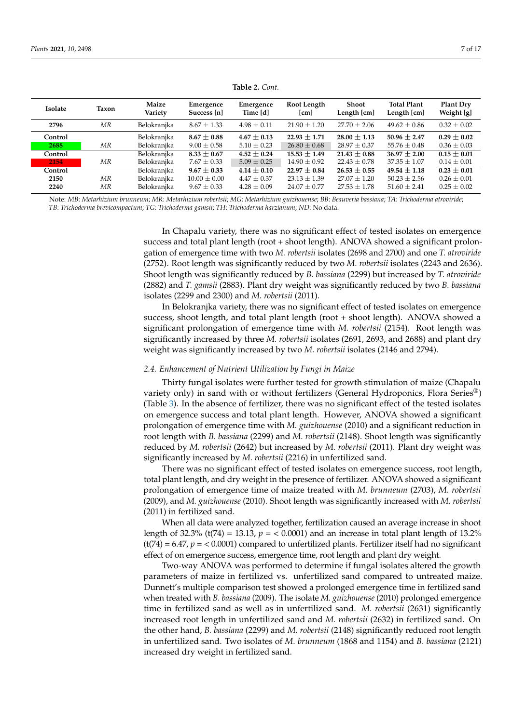<span id="page-6-0"></span>

| Isolate | Taxon | Maize<br>Variety | Emergence<br>Success [n] | Emergence<br>Time [d] | Root Length<br>[cm] | Shoot<br>Length [cm] | <b>Total Plant</b><br>Length [cm] | <b>Plant Dry</b><br>Weight [g] |
|---------|-------|------------------|--------------------------|-----------------------|---------------------|----------------------|-----------------------------------|--------------------------------|
| 2796    | ΜR    | Belokranjka      | $8.67 \pm 1.33$          | $4.98 \pm 0.11$       | $21.90 \pm 1.20$    | $27.70 \pm 2.06$     | $49.62 \pm 0.86$                  | $0.32 \pm 0.02$                |
| Control |       | Belokranjka      | $8.67 \pm 0.88$          | $4.67 \pm 0.13$       | $22.93 \pm 1.71$    | $28.00 \pm 1.13$     | $50.96 \pm 2.47$                  | $0.29 \pm 0.02$                |
| 2688    | ΜR    | Belokranjka      | $9.00 \pm 0.58$          | $5.10 \pm 0.23$       | $26.80 \pm 0.68$    | $28.97 \pm 0.37$     | $55.76 \pm 0.48$                  | $0.36 \pm 0.03$                |
| Control |       | Belokranjka      | $8.33 \pm 0.67$          | $4.52 \pm 0.24$       | $15.53 \pm 1.49$    | $21.43 \pm 0.88$     | $36.97 \pm 2.00$                  | $0.15 \pm 0.01$                |
| /2154/  | ΜR    | Belokranjka      | $7.67 \pm 0.33$          | $5.09 \pm 0.25$       | $14.90 \pm 0.92$    | $22.43 \pm 0.78$     | $37.35 \pm 1.07$                  | $0.14 \pm 0.01$                |
| Control |       | Belokranjka      | $9.67 \pm 0.33$          | $4.14 \pm 0.10$       | $22.97 \pm 0.84$    | $26.53 \pm 0.55$     | $49.54 \pm 1.18$                  | $0.23 \pm 0.01$                |
| 2150    | ΜR    | Belokranjka      | $10.00 \pm 0.00$         | $4.47 \pm 0.37$       | $23.13 \pm 1.39$    | $27.07 \pm 1.20$     | $50.23 \pm 2.56$                  | $0.26 \pm 0.01$                |
| 2240    | ΜR    | Belokranjka      | $9.67 \pm 0.33$          | $4.28 \pm 0.09$       | $24.07 \pm 0.77$    | $27.53 \pm 1.78$     | $51.60 \pm 2.41$                  | $0.25 \pm 0.02$                |

**Table 2.** *Cont.*

Note: *MB*: *Metarhizium brunneum*; *MR*: *Metarhizium robertsii*; *MG*: *Metarhizium guizhouense*; *BB*: *Beauveria bassiana*; *TA*: *Trichoderma atroviride*; *TB*: *Trichoderma brevicompactum*; *TG*: *Trichoderma gamsii*; *TH*: *Trichoderma harzianum*; *ND*: No data.

> In Chapalu variety, there was no significant effect of tested isolates on emergence success and total plant length (root + shoot length). ANOVA showed a significant prolongation of emergence time with two *M. robertsii* isolates (2698 and 2700) and one *T. atroviride* (2752). Root length was significantly reduced by two *M. robertsii* isolates (2243 and 2636). Shoot length was significantly reduced by *B. bassiana* (2299) but increased by *T. atroviride* (2882) and *T. gamsii* (2883). Plant dry weight was significantly reduced by two *B. bassiana* isolates (2299 and 2300) and *M. robertsii* (2011).

> In Belokranjka variety, there was no significant effect of tested isolates on emergence success, shoot length, and total plant length (root + shoot length). ANOVA showed a significant prolongation of emergence time with *M. robertsii* (2154). Root length was significantly increased by three *M. robertsii* isolates (2691, 2693, and 2688) and plant dry weight was significantly increased by two *M. robertsii* isolates (2146 and 2794).

### *2.4. Enhancement of Nutrient Utilization by Fungi in Maize*

Thirty fungal isolates were further tested for growth stimulation of maize (Chapalu variety only) in sand with or without fertilizers (General Hydroponics, Flora Series®) (Table [3\)](#page-8-0). In the absence of fertilizer, there was no significant effect of the tested isolates on emergence success and total plant length. However, ANOVA showed a significant prolongation of emergence time with *M. guizhouense* (2010) and a significant reduction in root length with *B. bassiana* (2299) and *M. robertsii* (2148). Shoot length was significantly reduced by *M. robertsii* (2642) but increased by *M. robertsii* (2011). Plant dry weight was significantly increased by *M. robertsii* (2216) in unfertilized sand.

There was no significant effect of tested isolates on emergence success, root length, total plant length, and dry weight in the presence of fertilizer. ANOVA showed a significant prolongation of emergence time of maize treated with *M. brunneum* (2703), *M. robertsii* (2009), and *M. guizhouense* (2010). Shoot length was significantly increased with *M. robertsii* (2011) in fertilized sand.

When all data were analyzed together, fertilization caused an average increase in shoot length of  $32.3\%$  (t $(74) = 13.13$ ,  $p = < 0.0001$ ) and an increase in total plant length of  $13.2\%$ (t(74) = 6.47, *p* = < 0.0001) compared to unfertilized plants. Fertilizer itself had no significant effect of on emergence success, emergence time, root length and plant dry weight.

Two-way ANOVA was performed to determine if fungal isolates altered the growth parameters of maize in fertilized vs. unfertilized sand compared to untreated maize. Dunnett's multiple comparison test showed a prolonged emergence time in fertilized sand when treated with *B. bassiana* (2009). The isolate *M. guizhouense* (2010) prolonged emergence time in fertilized sand as well as in unfertilized sand. *M. robertsii* (2631) significantly increased root length in unfertilized sand and *M. robertsii* (2632) in fertilized sand. On the other hand, *B. bassiana* (2299) and *M. robertsii* (2148) significantly reduced root length in unfertilized sand. Two isolates of *M. brunneum* (1868 and 1154) and *B. bassiana* (2121) increased dry weight in fertilized sand.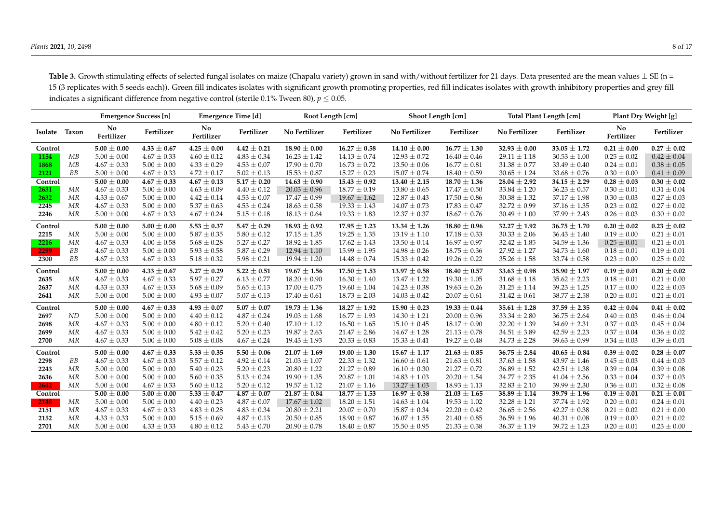| Table 3. Growth stimulating effects of selected fungal isolates on maize (Chapalu variety) grown in sand with/without fertilizer for 21 days. Data presented are the mean values $\pm$ SE (n = |
|------------------------------------------------------------------------------------------------------------------------------------------------------------------------------------------------|
| 15 (3 replicates with 5 seeds each)). Green fill indicates isolates with significant growth promoting properties, red fill indicates isolates with growth inhibitory properties and grey fill  |
| indicates a significant difference from negative control (sterile 0.1% Tween 80), $p \le 0.05$ .                                                                                               |

|         |       | Emergence Success [n] |                 | Emergence Time [d] |                 | Root Length [cm] |                  | Shoot Length [cm] |                  | <b>Total Plant Length [cm]</b> |                  | Plant Dry Weight [g] |                            |
|---------|-------|-----------------------|-----------------|--------------------|-----------------|------------------|------------------|-------------------|------------------|--------------------------------|------------------|----------------------|----------------------------|
| Isolate | Taxon | No<br>Fertilizer      | Fertilizer      | No<br>Fertilizer   | Fertilizer      | No Fertilizer    | Fertilizer       | No Fertilizer     | Fertilizer       | No Fertilizer                  | Fertilizer       | No<br>Fertilizer     | Fertilizer                 |
| Control |       | $5.00 \pm 0.00$       | $4.33 \pm 0.67$ | $4.25 \pm 0.00$    | $4.42 \pm 0.21$ | $18.90 \pm 0.00$ | $16.27 \pm 0.58$ | $14.10 \pm 0.00$  | $16.77 \pm 1.30$ | $32.93 \pm 0.00$               | $33.05 \pm 1.72$ | $0.21 \pm 0.00$      | $0.27 \pm 0.02$            |
| 1154    | MB    | $5.00 \pm 0.00$       | $4.67 \pm 0.33$ | $4.60 \pm 0.12$    | $4.83 \pm 0.34$ | $16.23 \pm 1.42$ | $14.13 \pm 0.74$ | $12.93 \pm 0.72$  | $16.40 \pm 0.46$ | $29.11 \pm 1.18$               | $30.53 \pm 1.00$ | $0.25 \pm 0.02$      | $0.42 \pm 0.04$            |
| 1868    | MB    | $4.67 \pm 0.33$       | $5.00 \pm 0.00$ | $4.33 \pm 0.29$    | $4.53 \pm 0.07$ | $17.90 \pm 0.70$ | $16.73 \pm 0.72$ | $13.50 \pm 0.06$  | $16.77 \pm 0.81$ | $31.38 \pm 0.77$               | $33.49 \pm 0.40$ | $0.24 \pm 0.01$      | $0.38 \pm 0.05$            |
| 2121    | BB    | $5.00 \pm 0.00$       | $4.67 \pm 0.33$ | $4.72 \pm 0.17$    | $5.02 \pm 0.13$ | $15.53 \pm 0.87$ | $15.27 \pm 0.23$ | $15.07 \pm 0.74$  | $18.40 \pm 0.59$ | $30.65 \pm 1.24$               | $33.68 \pm 0.76$ | $0.30 \pm 0.00$      | $0.41 \pm 0.09$            |
| Control |       | $5.00 \pm 0.00$       | $4.67 \pm 0.33$ | $4.67 \pm 0.13$    | $5.17 \pm 0.20$ | $14.63 \pm 0.90$ | $15.43 \pm 0.92$ | $13.40 \pm 2.15$  | $18.70 \pm 1.36$ | $28.04 \pm 2.92$               | $34.15 \pm 2.29$ | $0.28 \pm 0.03$      | $\overline{0.30 \pm 0.02}$ |
| 2631    | MR    | $4.67 \pm 0.33$       | $5.00 \pm 0.00$ | $4.63 \pm 0.09$    | $4.40 \pm 0.12$ | $20.03 \pm 0.96$ | $18.77 \pm 0.19$ | $13.80 \pm 0.65$  | $17.47 \pm 0.50$ | $33.84 \pm 1.20$               | $36.23 \pm 0.57$ | $0.30 \pm 0.01$      | $0.31 \pm 0.04$            |
| 2632    | MR    | $4.33 \pm 0.67$       | $5.00 \pm 0.00$ | $4.42 \pm 0.14$    | $4.53 \pm 0.07$ | $17.47 \pm 0.99$ | $19.67 \pm 1.62$ | $12.87 \pm 0.43$  | $17.50 \pm 0.86$ | $30.38 \pm 1.32$               | $37.17 \pm 1.98$ | $0.30 \pm 0.03$      | $0.27\pm0.03$              |
| 2245    | MR    | $4.67 \pm 0.33$       | $5.00 \pm 0.00$ | $5.37 \pm 0.63$    | $4.53 \pm 0.24$ | $18.63 \pm 0.58$ | $19.33 \pm 1.43$ | $14.07 \pm 0.73$  | $17.83 \pm 0.47$ | $32.72 \pm 0.99$               | $37.16 \pm 1.35$ | $0.23 \pm 0.02$      | $0.27 \pm 0.02$            |
| 2246    | MR    | $5.00 \pm 0.00$       | $4.67 \pm 0.33$ | $4.67 \pm 0.24$    | $5.15 \pm 0.18$ | $18.13 \pm 0.64$ | $19.33 \pm 1.83$ | $12.37 \pm 0.37$  | $18.67 \pm 0.76$ | $30.49 \pm 1.00$               | $37.99 \pm 2.43$ | $0.26 \pm 0.03$      | $0.30 \pm 0.02$            |
| Control |       | $5.00 \pm 0.00$       | $5.00 \pm 0.00$ | $5.53 \pm 0.37$    | $5.47 \pm 0.29$ | $18.93 \pm 0.92$ | $17.95 \pm 1.23$ | $13.34 \pm 1.26$  | $18.80 \pm 0.96$ | $32.27 \pm 1.92$               | $36.75 \pm 1.70$ | $0.20 \pm 0.02$      | $0.23 \pm 0.02$            |
| 2215    | MR    | $5.00 \pm 0.00$       | $5.00 \pm 0.00$ | $5.87 \pm 0.35$    | $5.80 \pm 0.12$ | $17.15 \pm 1.35$ | $19.25 \pm 1.35$ | $13.19 \pm 1.10$  | $17.18 \pm 0.33$ | $30.33 \pm 2.06$               | $36.43 \pm 1.40$ | $0.19 \pm 0.00$      | $0.21 \pm 0.01$            |
| 2216    | MR    | $4.67 \pm 0.33$       | $4.00 \pm 0.58$ | $5.68 \pm 0.28$    | $5.27 \pm 0.27$ | $18.92 \pm 1.85$ | $17.62 \pm 1.43$ | $13.50 \pm 0.14$  | $16.97 \pm 0.97$ | $32.42 \pm 1.85$               | $34.59 \pm 1.36$ | $0.25 \pm 0.01$      | $0.21 \pm 0.01$            |
| 2299    | ВB    | $4.67 \pm 0.33$       | $5.00 \pm 0.00$ | $5.93 \pm 0.58$    | $5.87 \pm 0.29$ | $12.94 \pm 1.10$ | $15.99 \pm 1.95$ | $14.98 \pm 0.26$  | $18.75 \pm 0.36$ | $27.92 \pm 1.27$               | $34.73 \pm 1.60$ | $0.18 \pm 0.01$      | $0.19 \pm 0.01$            |
| 2300    | BB    | $4.67 \pm 0.33$       | $4.67 \pm 0.33$ | $5.18 \pm 0.32$    | $5.98 \pm 0.21$ | $19.94 \pm 1.20$ | $14.48 \pm 0.74$ | $15.33 \pm 0.42$  | $19.26 \pm 0.22$ | $35.26 \pm 1.58$               | $33.74 \pm 0.58$ | $0.23 \pm 0.00$      | $0.25 \pm 0.02$            |
| Control |       | $5.00 \pm 0.00$       | $4.33 \pm 0.67$ | $5.27 \pm 0.29$    | $5.22 \pm 0.51$ | $19.67 \pm 1.56$ | $17.50 \pm 1.53$ | $13.97 \pm 0.58$  | $18.40 \pm 0.57$ | $33.63 \pm 0.98$               | $35.90 \pm 1.97$ | $0.19 \pm 0.01$      | $0.20 \pm 0.02$            |
| 2635    | MR    | $4.67 \pm 0.33$       | $4.67 \pm 0.33$ | $5.97 \pm 0.27$    | $6.13 \pm 0.77$ | $18.20 \pm 0.90$ | $16.30 \pm 1.40$ | $13.47 \pm 1.22$  | $19.30\pm1.05$   | $31.68 \pm 1.18$               | $35.62 \pm 2.23$ | $0.18 \pm 0.01$      | $0.21 \pm 0.00$            |
| 2637    | MR    | $4.33 \pm 0.33$       | $4.67 \pm 0.33$ | $5.68 \pm 0.09$    | $5.65 \pm 0.13$ | $17.00 \pm 0.75$ | $19.60 \pm 1.04$ | $14.23 \pm 0.38$  | $19.63 \pm 0.26$ | $31.25 \pm 1.14$               | $39.23 \pm 1.25$ | $0.17 \pm 0.00$      | $0.22 \pm 0.03$            |
| 2641    | MR    | $5.00 \pm 0.00$       | $5.00 \pm 0.00$ | $4.93 \pm 0.07$    | $5.07 \pm 0.13$ | $17.40 \pm 0.61$ | $18.73 \pm 2.03$ | $14.03 \pm 0.42$  | $20.07 \pm 0.61$ | $31.42 \pm 0.61$               | $38.77 \pm 2.58$ | $0.20 \pm 0.01$      | $0.21 \pm 0.01$            |
| Control |       | $5.00 \pm 0.00$       | $4.67 \pm 0.33$ | $4.93 \pm 0.07$    | $5.07\pm0.07$   | $19.73 \pm 1.36$ | $18.27 \pm 1.92$ | $15.90 \pm 0.23$  | $19.33 \pm 0.44$ | $35.61 \pm 1.28$               | $37.59 \pm 2.35$ | $0.42 \pm 0.04$      | $0.41 \pm 0.02$            |
| 2697    | ND    | $5.00 \pm 0.00$       | $5.00 \pm 0.00$ | $4.40 \pm 0.12$    | $4.87 \pm 0.24$ | $19.03 \pm 1.68$ | $16.77 \pm 1.93$ | $14.30 \pm 1.21$  | $20.00 \pm 0.96$ | $33.34 \pm 2.80$               | $36.75 \pm 2.64$ | $0.40 \pm 0.03$      | $0.46 \pm 0.04$            |
| 2698    | MR    | $4.67 \pm 0.33$       | $5.00 \pm 0.00$ | $4.80 \pm 0.12$    | $5.20 \pm 0.40$ | $17.10 \pm 1.12$ | $16.50 \pm 1.65$ | $15.10 \pm 0.45$  | $18.17 \pm 0.90$ | $32.20 \pm 1.39$               | $34.69 \pm 2.31$ | $0.37 \pm 0.03$      | $0.45 \pm 0.04$            |
| 2699    | MR    | $4.67 \pm 0.33$       | $5.00 \pm 0.00$ | $5.42 \pm 0.42$    | $5.20 \pm 0.23$ | $19.87 \pm 2.63$ | $21.47 \pm 2.86$ | $14.67 \pm 1.28$  | $21.13 \pm 0.78$ | $34.51 \pm 3.89$               | $42.59 \pm 2.23$ | $0.37 \pm 0.04$      | $0.36 \pm 0.02$            |
| 2700    | MR    | $4.67 \pm 0.33$       | $5.00 \pm 0.00$ | $5.08 \pm 0.08$    | $4.67 \pm 0.24$ | $19.43 \pm 1.93$ | $20.33 \pm 0.83$ | $15.33 \pm 0.41$  | $19.27 \pm 0.48$ | $34.73 \pm 2.28$               | $39.63 \pm 0.99$ | $0.34 \pm 0.03$      | $0.39 \pm 0.01$            |
| Control |       | $5.00 \pm 0.00$       | $4.67 \pm 0.33$ | $5.33 \pm 0.35$    | $5.50 \pm 0.06$ | $21.07 \pm 1.69$ | $19.00 \pm 1.30$ | $15.67 \pm 1.17$  | $21.63 \pm 0.85$ | $36.75 \pm 2.84$               | $40.65 \pm 0.84$ | $0.39 \pm 0.02$      | $0.28 \pm 0.07$            |
| 2298    | BB    | $4.67 \pm 0.33$       | $4.67 \pm 0.33$ | $5.57 \pm 0.12$    | $4.92 \pm 0.14$ | $21.03 \pm 1.07$ | $22.33 \pm 1.32$ | $16.60 \pm 0.61$  | $21.63 \pm 0.81$ | $37.63 \pm 1.58$               | $43.97 \pm 1.46$ | $0.45 \pm 0.03$      | $0.44 \pm 0.03$            |
| 2243    | MR    | $5.00 \pm 0.00$       | $5.00 \pm 0.00$ | $5.40 \pm 0.23$    | $5.20 \pm 0.23$ | $20.80 \pm 1.22$ | $21.27 \pm 0.89$ | $16.10 \pm 0.30$  | $21.27 \pm 0.72$ | $36.89 \pm 1.52$               | $42.51 \pm 1.38$ | $0.39 \pm 0.04$      | $0.39 \pm 0.08$            |
| 2636    | MR    | $5.00 \pm 0.00$       | $5.00 \pm 0.00$ | $5.60 \pm 0.35$    | $5.13 \pm 0.24$ | $19.90 \pm 1.35$ | $20.87 \pm 1.01$ | $14.83 \pm 1.03$  | $20.20 \pm 1.54$ | $34.77 \pm 2.35$               | $41.04 \pm 2.56$ | $0.33 \pm 0.04$      | $0.37 \pm 0.03$            |
| 2642    | MR    | $5.00 \pm 0.00$       | $4.67 \pm 0.33$ | $5.60 \pm 0.12$    | $5.20 \pm 0.12$ | $19.57 \pm 1.12$ | $21.07 \pm 1.16$ | $13.27 \pm 1.03$  | $18.93 \pm 1.13$ | $32.83 \pm 2.10$               | $39.99 \pm 2.30$ | $0.36 \pm 0.01$      | $0.32 \pm 0.08$            |
| Control |       | $5.00 \pm 0.00$       | $5.00 \pm 0.00$ | $5.33 \pm 0.47$    | $4.87 \pm 0.07$ | $21.87 \pm 0.84$ | $18.77 \pm 1.53$ | $16.97 \pm 0.38$  | $21.03 \pm 1.65$ | $38.89 \pm 1.14$               | $39.79 \pm 1.96$ | $0.19 \pm 0.01$      | $0.21 \pm 0.01$            |
| 2148    | МR    | $5.00 \pm 0.00$       | $5.00 \pm 0.00$ | $4.40 \pm 0.23$    | $4.87 \pm 0.07$ | $17.67 \pm 1.02$ | $18.20 \pm 1.51$ | $14.63 \pm 1.04$  | $19.53 \pm 1.02$ | $32.28 \pm 1.21$               | $37.74 \pm 1.92$ | $0.20 \pm 0.01$      | $0.24 \pm 0.01$            |
| 2151    | MR    | $4.67 \pm 0.33$       | $4.67 \pm 0.33$ | $4.83 \pm 0.28$    | $4.83 \pm 0.34$ | $20.80 \pm 2.21$ | $20.07 \pm 0.70$ | $15.87 \pm 0.34$  | $22.20 \pm 0.42$ | $36.65 \pm 2.56$               | $42.27 \pm 0.38$ | $0.21 \pm 0.02$      | $0.21 \pm 0.00$            |
| 2152    | MR    | $4.33 \pm 0.33$       | $5.00 \pm 0.00$ | $5.15 \pm 0.69$    | $4.87 \pm 0.13$ | $20.50 \pm 0.85$ | $18.90 \pm 0.87$ | $16.07 \pm 1.55$  | $21.40 \pm 0.85$ | $36.59 \pm 1.96$               | $40.31 \pm 0.08$ | $0.19 \pm 0.00$      | $0.21 \pm 0.02$            |
| 2701    | MR    | $5.00 \pm 0.00$       | $4.33 \pm 0.33$ | $4.80 \pm 0.12$    | $5.43 \pm 0.70$ | $20.90 \pm 0.78$ | $18.40 \pm 0.87$ | $15.50 \pm 0.95$  | $21.33 \pm 0.38$ | $36.37 \pm 1.19$               | $39.72 \pm 1.23$ | $0.20 \pm 0.01$      | $0.23 \pm 0.00$            |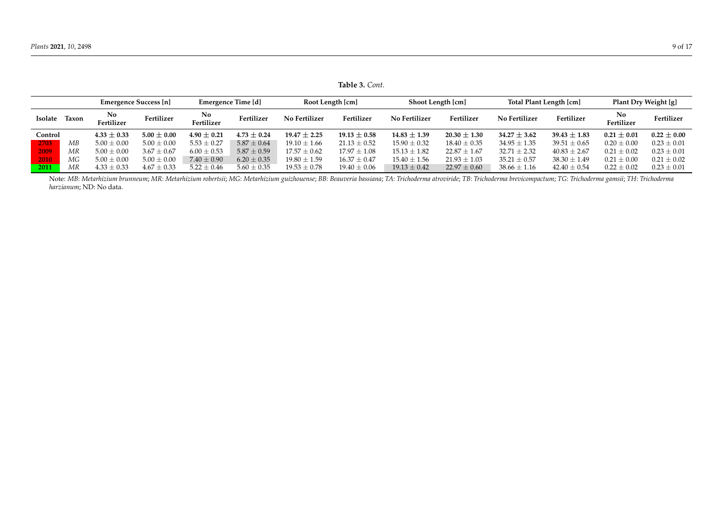|         |              | Emergence Success [n] |                 | Emergence Time [d] |                 | Root Length [cm] |                  | Shoot Length [cm] |                  | Total Plant Length [cm] |                  | Plant Dry Weight [g] |                 |
|---------|--------------|-----------------------|-----------------|--------------------|-----------------|------------------|------------------|-------------------|------------------|-------------------------|------------------|----------------------|-----------------|
| Isolate | <b>Taxon</b> | No.<br>Fertilizer     | Fertilizer      | No<br>Fertilizer   | Fertilizer      | No Fertilizer    | Fertilizer       | No Fertilizer     | Fertilizer       | <b>No Fertilizer</b>    | Fertilizer       | No<br>Fertilizer     | Fertilizer      |
| Control |              | $4.33 \pm 0.33$       | $5.00 \pm 0.00$ | $4.90 \pm 0.21$    | $4.73 \pm 0.24$ | $19.47 \pm 2.25$ | $19.13 \pm 0.58$ | $14.83 \pm 1.39$  | $20.30 \pm 1.30$ | $34.27 \pm 3.62$        | $39.43 \pm 1.83$ | $0.21 \pm 0.01$      | $0.22 \pm 0.00$ |
| 2703    | МB           | $5.00 \pm 0.00$       | $5.00 \pm 0.00$ | $5.53 \pm 0.27$    | $5.87 \pm 0.64$ | $19.10 \pm 1.66$ | $21.13 \pm 0.52$ | $15.90 \pm 0.32$  | $18.40 \pm 0.35$ | $34.95 \pm 1.35$        | $39.51 \pm 0.65$ | $0.20 \pm 0.00$      | $0.23 \pm 0.01$ |
| 2009    | MR           | $5.00 \pm 0.00$       | $3.67 \pm 0.67$ | $6.00 \pm 0.53$    | $5.87 \pm 0.59$ | $17.57 \pm 0.62$ | $17.97 \pm 1.08$ | $15.13 \pm 1.82$  | $22.87 \pm 1.67$ | $32.71 \pm 2.32$        | $40.83 \pm 2.67$ | $0.21 \pm 0.02$      | $0.23 \pm 0.01$ |
| 2010    | МG           | $5.00 \pm 0.00$       | $5.00 \pm 0.00$ | $7.40 \pm 0.90$    | $6.20 \pm 0.35$ | $19.80 \pm 1.59$ | $16.37 \pm 0.47$ | $15.40 \pm 1.56$  | $21.93 \pm 1.03$ | $35.21 \pm 0.57$        | $38.30 \pm 1.49$ | $0.21 \pm 0.00$      | $0.21 \pm 0.02$ |
| 2011    | MR           | $4.33 \pm 0.33$       | $4.67 \pm 0.33$ | $5.22 \pm 0.46$    | $5.60 \pm 0.35$ | $19.53 \pm 0.78$ | $19.40 \pm 0.06$ | $19.13 \pm 0.42$  | $22.97 \pm 0.60$ | $38.66 \pm 1.16$        | $42.40 \pm 0.54$ | $0.22 \pm 0.02$      | $0.23 \pm 0.01$ |

**Table 3.** *Cont.*

<span id="page-8-0"></span>Note: MB: Metarhizium brunneum; MR: Metarhizium robertsii; MG: Metarhizium guizhouense; BB: Beauveria bassiana; TA: Trichoderma atroviride; TB: Trichoderma brevicompactum; TG: Trichoderma gamsii; TH: Trichoderma *harzianum*; ND: No data.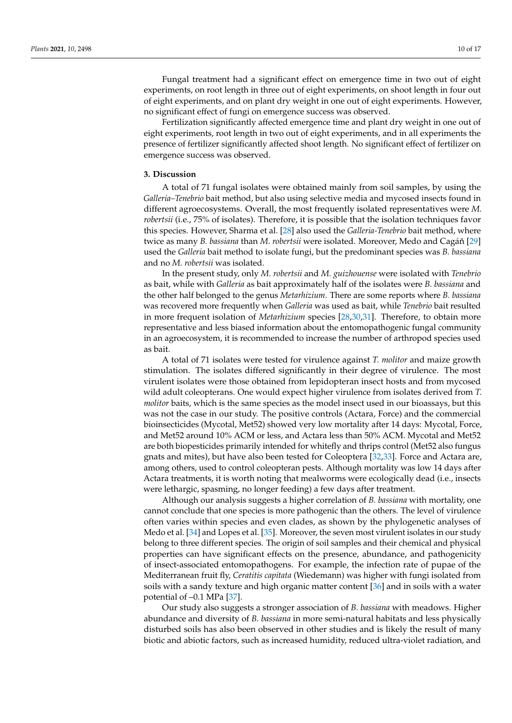Fungal treatment had a significant effect on emergence time in two out of eight experiments, on root length in three out of eight experiments, on shoot length in four out of eight experiments, and on plant dry weight in one out of eight experiments. However, no significant effect of fungi on emergence success was observed.

Fertilization significantly affected emergence time and plant dry weight in one out of eight experiments, root length in two out of eight experiments, and in all experiments the presence of fertilizer significantly affected shoot length. No significant effect of fertilizer on emergence success was observed.

## **3. Discussion**

A total of 71 fungal isolates were obtained mainly from soil samples, by using the *Galleria–Tenebrio* bait method, but also using selective media and mycosed insects found in different agroecosystems. Overall, the most frequently isolated representatives were *M. robertsii* (i.e., 75% of isolates). Therefore, it is possible that the isolation techniques favor this species. However, Sharma et al. [\[28\]](#page-15-8) also used the *Galleria-Tenebrio* bait method, where twice as many *B. bassiana* than *M. robertsii* were isolated. Moreover, Medo and Cagáň [\[29\]](#page-15-9) used the *Galleria* bait method to isolate fungi, but the predominant species was *B. bassiana* and no *M. robertsii* was isolated.

In the present study, only *M. robertsii* and *M. guizhouense* were isolated with *Tenebrio* as bait, while with *Galleria* as bait approximately half of the isolates were *B. bassiana* and the other half belonged to the genus *Metarhizium*. There are some reports where *B. bassiana* was recovered more frequently when *Galleria* was used as bait, while *Tenebrio* bait resulted in more frequent isolation of *Metarhizium* species [\[28](#page-15-8)[,30](#page-15-10)[,31\]](#page-15-11). Therefore, to obtain more representative and less biased information about the entomopathogenic fungal community in an agroecosystem, it is recommended to increase the number of arthropod species used as bait.

A total of 71 isolates were tested for virulence against *T. molitor* and maize growth stimulation. The isolates differed significantly in their degree of virulence. The most virulent isolates were those obtained from lepidopteran insect hosts and from mycosed wild adult coleopterans. One would expect higher virulence from isolates derived from *T. molitor* baits, which is the same species as the model insect used in our bioassays, but this was not the case in our study. The positive controls (Actara, Force) and the commercial bioinsecticides (Mycotal, Met52) showed very low mortality after 14 days: Mycotal, Force, and Met52 around 10% ACM or less, and Actara less than 50% ACM. Mycotal and Met52 are both biopesticides primarily intended for whitefly and thrips control (Met52 also fungus gnats and mites), but have also been tested for Coleoptera [\[32](#page-15-12)[,33\]](#page-15-13). Force and Actara are, among others, used to control coleopteran pests. Although mortality was low 14 days after Actara treatments, it is worth noting that mealworms were ecologically dead (i.e., insects were lethargic, spasming, no longer feeding) a few days after treatment.

Although our analysis suggests a higher correlation of *B. bassiana* with mortality, one cannot conclude that one species is more pathogenic than the others. The level of virulence often varies within species and even clades, as shown by the phylogenetic analyses of Medo et al. [\[34\]](#page-15-14) and Lopes et al. [\[35\]](#page-15-15). Moreover, the seven most virulent isolates in our study belong to three different species. The origin of soil samples and their chemical and physical properties can have significant effects on the presence, abundance, and pathogenicity of insect-associated entomopathogens. For example, the infection rate of pupae of the Mediterranean fruit fly, *Ceratitis capitata* (Wiedemann) was higher with fungi isolated from soils with a sandy texture and high organic matter content [\[36\]](#page-15-16) and in soils with a water potential of –0.1 MPa [\[37\]](#page-15-17).

Our study also suggests a stronger association of *B. bassiana* with meadows. Higher abundance and diversity of *B. bassiana* in more semi-natural habitats and less physically disturbed soils has also been observed in other studies and is likely the result of many biotic and abiotic factors, such as increased humidity, reduced ultra-violet radiation, and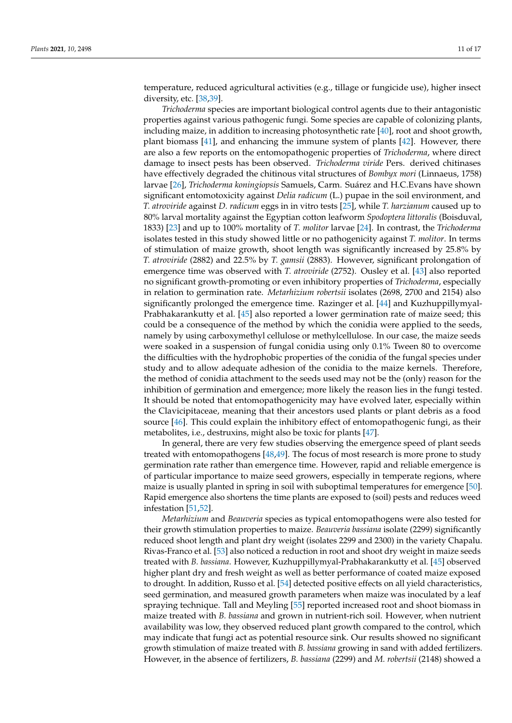temperature, reduced agricultural activities (e.g., tillage or fungicide use), higher insect diversity, etc. [\[38,](#page-15-18)[39\]](#page-15-19).

*Trichoderma* species are important biological control agents due to their antagonistic properties against various pathogenic fungi. Some species are capable of colonizing plants, including maize, in addition to increasing photosynthetic rate [\[40\]](#page-15-20), root and shoot growth, plant biomass [\[41\]](#page-15-21), and enhancing the immune system of plants [\[42\]](#page-15-22). However, there are also a few reports on the entomopathogenic properties of *Trichoderma*, where direct damage to insect pests has been observed. *Trichoderma viride* Pers. derived chitinases have effectively degraded the chitinous vital structures of *Bombyx mori* (Linnaeus, 1758) larvae [\[26\]](#page-15-6), *Trichoderma koningiopsis* Samuels, Carm. Suárez and H.C.Evans have shown significant entomotoxicity against *Delia radicum* (L.) pupae in the soil environment, and *T. atroviride* against *D. radicum* eggs in in vitro tests [\[25\]](#page-15-23), while *T. harzianum* caused up to 80% larval mortality against the Egyptian cotton leafworm *Spodoptera littoralis* (Boisduval, 1833) [\[23\]](#page-15-5) and up to 100% mortality of *T. molitor* larvae [\[24\]](#page-15-24). In contrast, the *Trichoderma* isolates tested in this study showed little or no pathogenicity against *T. molitor*. In terms of stimulation of maize growth, shoot length was significantly increased by 25.8% by *T. atroviride* (2882) and 22.5% by *T. gamsii* (2883). However, significant prolongation of emergence time was observed with *T. atroviride* (2752). Ousley et al. [\[43\]](#page-15-25) also reported no significant growth-promoting or even inhibitory properties of *Trichoderma*, especially in relation to germination rate. *Metarhizium robertsii* isolates (2698, 2700 and 2154) also significantly prolonged the emergence time. Razinger et al. [\[44\]](#page-15-26) and Kuzhuppillymyal-Prabhakarankutty et al. [\[45\]](#page-16-0) also reported a lower germination rate of maize seed; this could be a consequence of the method by which the conidia were applied to the seeds, namely by using carboxymethyl cellulose or methylcellulose. In our case, the maize seeds were soaked in a suspension of fungal conidia using only 0.1% Tween 80 to overcome the difficulties with the hydrophobic properties of the conidia of the fungal species under study and to allow adequate adhesion of the conidia to the maize kernels. Therefore, the method of conidia attachment to the seeds used may not be the (only) reason for the inhibition of germination and emergence; more likely the reason lies in the fungi tested. It should be noted that entomopathogenicity may have evolved later, especially within the Clavicipitaceae, meaning that their ancestors used plants or plant debris as a food source [\[46\]](#page-16-1). This could explain the inhibitory effect of entomopathogenic fungi, as their metabolites, i.e., destruxins, might also be toxic for plants [\[47\]](#page-16-2).

In general, there are very few studies observing the emergence speed of plant seeds treated with entomopathogens [\[48](#page-16-3)[,49\]](#page-16-4). The focus of most research is more prone to study germination rate rather than emergence time. However, rapid and reliable emergence is of particular importance to maize seed growers, especially in temperate regions, where maize is usually planted in spring in soil with suboptimal temperatures for emergence [\[50\]](#page-16-5). Rapid emergence also shortens the time plants are exposed to (soil) pests and reduces weed infestation [\[51,](#page-16-6)[52\]](#page-16-7).

*Metarhizium* and *Beauveria* species as typical entomopathogens were also tested for their growth stimulation properties to maize. *Beauveria bassiana* isolate (2299) significantly reduced shoot length and plant dry weight (isolates 2299 and 2300) in the variety Chapalu. Rivas-Franco et al. [\[53\]](#page-16-8) also noticed a reduction in root and shoot dry weight in maize seeds treated with *B. bassiana*. However, Kuzhuppillymyal-Prabhakarankutty et al. [\[45\]](#page-16-0) observed higher plant dry and fresh weight as well as better performance of coated maize exposed to drought. In addition, Russo et al. [\[54\]](#page-16-9) detected positive effects on all yield characteristics, seed germination, and measured growth parameters when maize was inoculated by a leaf spraying technique. Tall and Meyling [\[55\]](#page-16-10) reported increased root and shoot biomass in maize treated with *B. bassiana* and grown in nutrient-rich soil. However, when nutrient availability was low, they observed reduced plant growth compared to the control, which may indicate that fungi act as potential resource sink. Our results showed no significant growth stimulation of maize treated with *B. bassiana* growing in sand with added fertilizers. However, in the absence of fertilizers, *B. bassiana* (2299) and *M. robertsii* (2148) showed a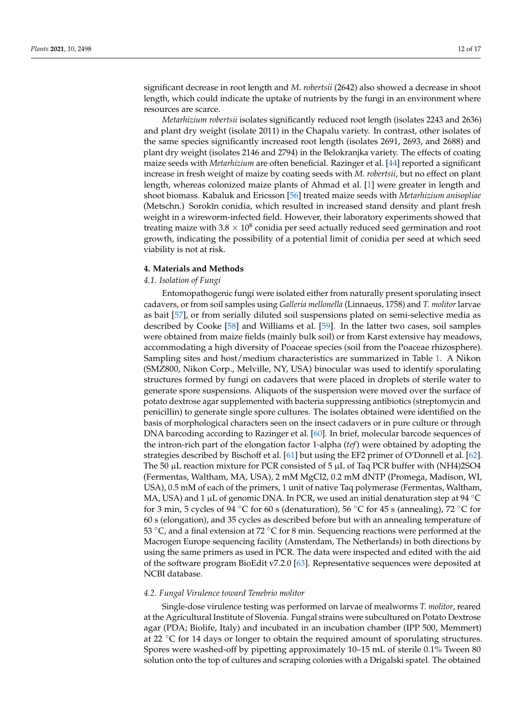significant decrease in root length and *M. robertsii* (2642) also showed a decrease in shoot length, which could indicate the uptake of nutrients by the fungi in an environment where resources are scarce.

*Metarhizium robertsii* isolates significantly reduced root length (isolates 2243 and 2636) and plant dry weight (isolate 2011) in the Chapalu variety. In contrast, other isolates of the same species significantly increased root length (isolates 2691, 2693, and 2688) and plant dry weight (isolates 2146 and 2794) in the Belokranjka variety. The effects of coating maize seeds with *Metarhizium* are often beneficial. Razinger et al. [\[44\]](#page-15-26) reported a significant increase in fresh weight of maize by coating seeds with *M. robertsii*, but no effect on plant length, whereas colonized maize plants of Ahmad et al. [\[1\]](#page-14-0) were greater in length and shoot biomass. Kabaluk and Ericsson [\[56\]](#page-16-11) treated maize seeds with *Metarhizium anisopliae* (Metschn.) Sorokīn conidia, which resulted in increased stand density and plant fresh weight in a wireworm-infected field. However, their laboratory experiments showed that treating maize with 3.8  $\times$  10<sup>8</sup> conidia per seed actually reduced seed germination and root growth, indicating the possibility of a potential limit of conidia per seed at which seed viability is not at risk.

#### **4. Materials and Methods**

# *4.1. Isolation of Fungi*

Entomopathogenic fungi were isolated either from naturally present sporulating insect cadavers, or from soil samples using *Galleria mellonella* (Linnaeus, 1758) and *T. molitor* larvae as bait [\[57\]](#page-16-12), or from serially diluted soil suspensions plated on semi-selective media as described by Cooke [\[58\]](#page-16-13) and Williams et al. [\[59\]](#page-16-14). In the latter two cases, soil samples were obtained from maize fields (mainly bulk soil) or from Karst extensive hay meadows, accommodating a high diversity of Poaceae species (soil from the Poaceae rhizosphere). Sampling sites and host/medium characteristics are summarized in Table [1.](#page-3-0) A Nikon (SMZ800, Nikon Corp., Melville, NY, USA) binocular was used to identify sporulating structures formed by fungi on cadavers that were placed in droplets of sterile water to generate spore suspensions. Aliquots of the suspension were moved over the surface of potato dextrose agar supplemented with bacteria suppressing antibiotics (streptomycin and penicillin) to generate single spore cultures. The isolates obtained were identified on the basis of morphological characters seen on the insect cadavers or in pure culture or through DNA barcoding according to Razinger et al. [\[60\]](#page-16-15). In brief, molecular barcode sequences of the intron-rich part of the elongation factor 1-alpha (*tef*) were obtained by adopting the strategies described by Bischoff et al. [\[61\]](#page-16-16) but using the EF2 primer of O'Donnell et al. [\[62\]](#page-16-17). The 50  $\mu$ L reaction mixture for PCR consisted of 5  $\mu$ L of Taq PCR buffer with (NH4)2SO4 (Fermentas, Waltham, MA, USA), 2 mM MgCl2, 0.2 mM dNTP (Promega, Madison, WI, USA), 0.5 mM of each of the primers, 1 unit of native Taq polymerase (Fermentas, Waltham, MA, USA) and 1 µL of genomic DNA. In PCR, we used an initial denaturation step at 94  $^{\circ}$ C for 3 min, 5 cycles of 94 °C for 60 s (denaturation), 56 °C for 45 s (annealing), 72 °C for 60 s (elongation), and 35 cycles as described before but with an annealing temperature of 53 °C, and a final extension at 72 °C for 8 min. Sequencing reactions were performed at the Macrogen Europe sequencing facility (Amsterdam, The Netherlands) in both directions by using the same primers as used in PCR. The data were inspected and edited with the aid of the software program BioEdit v7.2.0 [\[63\]](#page-16-18). Representative sequences were deposited at NCBI database.

#### *4.2. Fungal Virulence toward Tenebrio molitor*

Single-dose virulence testing was performed on larvae of mealworms *T. molitor*, reared at the Agricultural Institute of Slovenia. Fungal strains were subcultured on Potato Dextrose agar (PDA; Biolife, Italy) and incubated in an incubation chamber (IPP 500, Memmert) at 22  $\degree$ C for 14 days or longer to obtain the required amount of sporulating structures. Spores were washed-off by pipetting approximately 10–15 mL of sterile 0.1% Tween 80 solution onto the top of cultures and scraping colonies with a Drigalski spatel. The obtained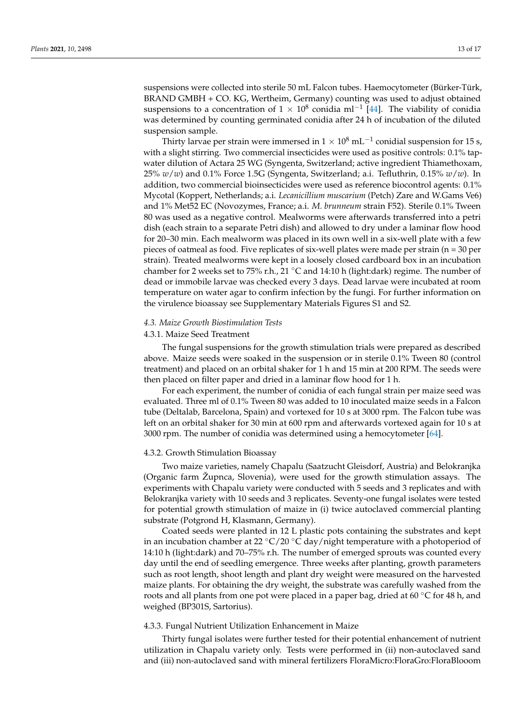suspensions were collected into sterile 50 mL Falcon tubes. Haemocytometer (Bürker-Türk, BRAND GMBH + CO. KG, Wertheim, Germany) counting was used to adjust obtained suspensions to a concentration of  $1 \times 10^8$  conidia ml<sup>-1</sup> [\[44\]](#page-15-26). The viability of conidia was determined by counting germinated conidia after 24 h of incubation of the diluted suspension sample.

Thirty larvae per strain were immersed in  $1\times10^8$  mL $^{-1}$  conidial suspension for 15 s, with a slight stirring. Two commercial insecticides were used as positive controls: 0.1% tapwater dilution of Actara 25 WG (Syngenta, Switzerland; active ingredient Thiamethoxam, 25% *w*/*w*) and 0.1% Force 1.5G (Syngenta, Switzerland; a.i. Tefluthrin, 0.15% *w*/*w*). In addition, two commercial bioinsecticides were used as reference biocontrol agents: 0.1% Mycotal (Koppert, Netherlands; a.i. *Lecanicillium muscarium* (Petch) Zare and W.Gams Ve6) and 1% Met52 EC (Novozymes, France; a.i. *M. brunneum* strain F52). Sterile 0.1% Tween 80 was used as a negative control. Mealworms were afterwards transferred into a petri dish (each strain to a separate Petri dish) and allowed to dry under a laminar flow hood for 20–30 min. Each mealworm was placed in its own well in a six-well plate with a few pieces of oatmeal as food. Five replicates of six-well plates were made per strain (n = 30 per strain). Treated mealworms were kept in a loosely closed cardboard box in an incubation chamber for 2 weeks set to 75% r.h., 21  $\degree$ C and 14:10 h (light:dark) regime. The number of dead or immobile larvae was checked every 3 days. Dead larvae were incubated at room temperature on water agar to confirm infection by the fungi. For further information on the virulence bioassay see Supplementary Materials Figures S1 and S2.

#### *4.3. Maize Growth Biostimulation Tests*

# 4.3.1. Maize Seed Treatment

The fungal suspensions for the growth stimulation trials were prepared as described above. Maize seeds were soaked in the suspension or in sterile 0.1% Tween 80 (control treatment) and placed on an orbital shaker for 1 h and 15 min at 200 RPM. The seeds were then placed on filter paper and dried in a laminar flow hood for 1 h.

For each experiment, the number of conidia of each fungal strain per maize seed was evaluated. Three ml of 0.1% Tween 80 was added to 10 inoculated maize seeds in a Falcon tube (Deltalab, Barcelona, Spain) and vortexed for 10 s at 3000 rpm. The Falcon tube was left on an orbital shaker for 30 min at 600 rpm and afterwards vortexed again for 10 s at 3000 rpm. The number of conidia was determined using a hemocytometer [\[64\]](#page-16-19).

#### 4.3.2. Growth Stimulation Bioassay

Two maize varieties, namely Chapalu (Saatzucht Gleisdorf, Austria) and Belokranjka (Organic farm Župnca, Slovenia), were used for the growth stimulation assays. The experiments with Chapalu variety were conducted with 5 seeds and 3 replicates and with Belokranjka variety with 10 seeds and 3 replicates. Seventy-one fungal isolates were tested for potential growth stimulation of maize in (i) twice autoclaved commercial planting substrate (Potgrond H, Klasmann, Germany).

Coated seeds were planted in 12 L plastic pots containing the substrates and kept in an incubation chamber at 22  $\rm{°C}/20$   $\rm{°C}$  day/night temperature with a photoperiod of 14:10 h (light:dark) and 70–75% r.h. The number of emerged sprouts was counted every day until the end of seedling emergence. Three weeks after planting, growth parameters such as root length, shoot length and plant dry weight were measured on the harvested maize plants. For obtaining the dry weight, the substrate was carefully washed from the roots and all plants from one pot were placed in a paper bag, dried at 60 ◦C for 48 h, and weighed (BP301S, Sartorius).

# 4.3.3. Fungal Nutrient Utilization Enhancement in Maize

Thirty fungal isolates were further tested for their potential enhancement of nutrient utilization in Chapalu variety only. Tests were performed in (ii) non-autoclaved sand and (iii) non-autoclaved sand with mineral fertilizers FloraMicro:FloraGro:FloraBlooom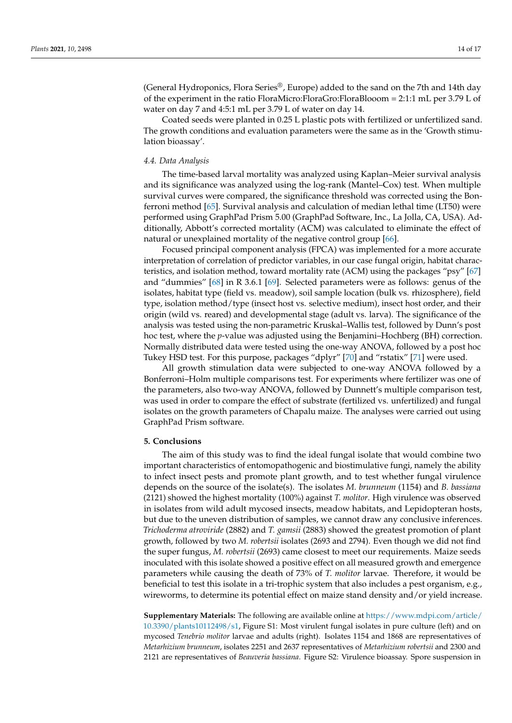(General Hydroponics, Flora Series®, Europe) added to the sand on the 7th and 14th day of the experiment in the ratio FloraMicro:FloraGro:FloraBlooom = 2:1:1 mL per 3.79 L of water on day 7 and 4:5:1 mL per 3.79 L of water on day 14.

Coated seeds were planted in 0.25 L plastic pots with fertilized or unfertilized sand. The growth conditions and evaluation parameters were the same as in the 'Growth stimulation bioassay'.

#### *4.4. Data Analysis*

The time-based larval mortality was analyzed using Kaplan–Meier survival analysis and its significance was analyzed using the log-rank (Mantel–Cox) test. When multiple survival curves were compared, the significance threshold was corrected using the Bonferroni method [\[65\]](#page-16-20). Survival analysis and calculation of median lethal time (LT50) were performed using GraphPad Prism 5.00 (GraphPad Software, Inc., La Jolla, CA, USA). Additionally, Abbott's corrected mortality (ACM) was calculated to eliminate the effect of natural or unexplained mortality of the negative control group [\[66\]](#page-16-21).

Focused principal component analysis (FPCA) was implemented for a more accurate interpretation of correlation of predictor variables, in our case fungal origin, habitat characteristics, and isolation method, toward mortality rate (ACM) using the packages "psy" [\[67\]](#page-16-22) and "dummies" [\[68\]](#page-16-23) in R 3.6.1 [\[69\]](#page-16-24). Selected parameters were as follows: genus of the isolates, habitat type (field vs. meadow), soil sample location (bulk vs. rhizosphere), field type, isolation method/type (insect host vs. selective medium), insect host order, and their origin (wild vs. reared) and developmental stage (adult vs. larva). The significance of the analysis was tested using the non-parametric Kruskal–Wallis test, followed by Dunn's post hoc test, where the *p*-value was adjusted using the Benjamini–Hochberg (BH) correction. Normally distributed data were tested using the one-way ANOVA, followed by a post hoc Tukey HSD test. For this purpose, packages "dplyr" [\[70\]](#page-16-25) and "rstatix" [\[71\]](#page-16-26) were used.

All growth stimulation data were subjected to one-way ANOVA followed by a Bonferroni–Holm multiple comparisons test. For experiments where fertilizer was one of the parameters, also two-way ANOVA, followed by Dunnett's multiple comparison test, was used in order to compare the effect of substrate (fertilized vs. unfertilized) and fungal isolates on the growth parameters of Chapalu maize. The analyses were carried out using GraphPad Prism software.

# **5. Conclusions**

The aim of this study was to find the ideal fungal isolate that would combine two important characteristics of entomopathogenic and biostimulative fungi, namely the ability to infect insect pests and promote plant growth, and to test whether fungal virulence depends on the source of the isolate(s). The isolates *M. brunneum* (1154) and *B. bassiana* (2121) showed the highest mortality (100%) against *T. molitor*. High virulence was observed in isolates from wild adult mycosed insects, meadow habitats, and Lepidopteran hosts, but due to the uneven distribution of samples, we cannot draw any conclusive inferences. *Trichoderma atroviride* (2882) and *T. gamsii* (2883) showed the greatest promotion of plant growth, followed by two *M. robertsii* isolates (2693 and 2794). Even though we did not find the super fungus, *M. robertsii* (2693) came closest to meet our requirements. Maize seeds inoculated with this isolate showed a positive effect on all measured growth and emergence parameters while causing the death of 73% of *T. molitor* larvae. Therefore, it would be beneficial to test this isolate in a tri-trophic system that also includes a pest organism, e.g., wireworms, to determine its potential effect on maize stand density and/or yield increase.

**Supplementary Materials:** The following are available online at [https://www.mdpi.com/article/](https://www.mdpi.com/article/10.3390/plants10112498/s1) [10.3390/plants10112498/s1,](https://www.mdpi.com/article/10.3390/plants10112498/s1) Figure S1: Most virulent fungal isolates in pure culture (left) and on mycosed *Tenebrio molitor* larvae and adults (right). Isolates 1154 and 1868 are representatives of *Metarhizium brunneum*, isolates 2251 and 2637 representatives of *Metarhizium robertsii* and 2300 and 2121 are representatives of *Beauveria bassiana*. Figure S2: Virulence bioassay. Spore suspension in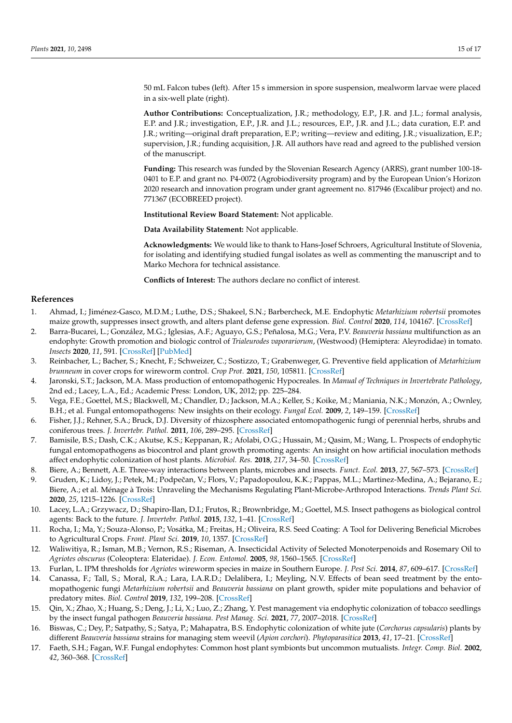50 mL Falcon tubes (left). After 15 s immersion in spore suspension, mealworm larvae were placed in a six-well plate (right).

**Author Contributions:** Conceptualization, J.R.; methodology, E.P., J.R. and J.L.; formal analysis, E.P. and J.R.; investigation, E.P., J.R. and J.L.; resources, E.P., J.R. and J.L.; data curation, E.P. and J.R.; writing—original draft preparation, E.P.; writing—review and editing, J.R.; visualization, E.P.; supervision, J.R.; funding acquisition, J.R. All authors have read and agreed to the published version of the manuscript.

**Funding:** This research was funded by the Slovenian Research Agency (ARRS), grant number 100-18- 0401 to E.P. and grant no. P4-0072 (Agrobiodiversity program) and by the European Union's Horizon 2020 research and innovation program under grant agreement no. 817946 (Excalibur project) and no. 771367 (ECOBREED project).

**Institutional Review Board Statement:** Not applicable.

**Data Availability Statement:** Not applicable.

**Acknowledgments:** We would like to thank to Hans-Josef Schroers, Agricultural Institute of Slovenia, for isolating and identifying studied fungal isolates as well as commenting the manuscript and to Marko Mechora for technical assistance.

**Conflicts of Interest:** The authors declare no conflict of interest.

## **References**

- <span id="page-14-0"></span>1. Ahmad, I.; Jiménez-Gasco, M.D.M.; Luthe, D.S.; Shakeel, S.N.; Barbercheck, M.E. Endophytic *Metarhizium robertsii* promotes maize growth, suppresses insect growth, and alters plant defense gene expression. *Biol. Control* **2020**, *114*, 104167. [\[CrossRef\]](http://doi.org/10.1016/j.biocontrol.2019.104167)
- 2. Barra-Bucarei, L.; González, M.G.; Iglesias, A.F.; Aguayo, G.S.; Peñalosa, M.G.; Vera, P.V. *Beauveria bassiana* multifunction as an endophyte: Growth promotion and biologic control of *Trialeurodes vaporariorum*, (Westwood) (Hemiptera: Aleyrodidae) in tomato. *Insects* **2020**, *11*, 591. [\[CrossRef\]](http://doi.org/10.3390/insects11090591) [\[PubMed\]](http://www.ncbi.nlm.nih.gov/pubmed/32887271)
- <span id="page-14-1"></span>3. Reinbacher, L.; Bacher, S.; Knecht, F.; Schweizer, C.; Sostizzo, T.; Grabenweger, G. Preventive field application of *Metarhizium brunneum* in cover crops for wireworm control. *Crop Prot.* **2021**, *150*, 105811. [\[CrossRef\]](http://doi.org/10.1016/j.cropro.2021.105811)
- <span id="page-14-2"></span>4. Jaronski, S.T.; Jackson, M.A. Mass production of entomopathogenic Hypocreales. In *Manual of Techniques in Invertebrate Pathology*, 2nd ed.; Lacey, L.A., Ed.; Academic Press: London, UK, 2012; pp. 225–284.
- <span id="page-14-3"></span>5. Vega, F.E.; Goettel, M.S.; Blackwell, M.; Chandler, D.; Jackson, M.A.; Keller, S.; Koike, M.; Maniania, N.K.; Monzón, A.; Ownley, B.H.; et al. Fungal entomopathogens: New insights on their ecology. *Fungal Ecol.* **2009**, *2*, 149–159. [\[CrossRef\]](http://doi.org/10.1016/j.funeco.2009.05.001)
- <span id="page-14-4"></span>6. Fisher, J.J.; Rehner, S.A.; Bruck, D.J. Diversity of rhizosphere associated entomopathogenic fungi of perennial herbs, shrubs and coniferous trees. *J. Invertebr. Pathol.* **2011**, *106*, 289–295. [\[CrossRef\]](http://doi.org/10.1016/j.jip.2010.11.001)
- <span id="page-14-5"></span>7. Bamisile, B.S.; Dash, C.K.; Akutse, K.S.; Keppanan, R.; Afolabi, O.G.; Hussain, M.; Qasim, M.; Wang, L. Prospects of endophytic fungal entomopathogens as biocontrol and plant growth promoting agents: An insight on how artificial inoculation methods affect endophytic colonization of host plants. *Microbiol. Res.* **2018**, *217*, 34–50. [\[CrossRef\]](http://doi.org/10.1016/j.micres.2018.08.016)
- <span id="page-14-6"></span>8. Biere, A.; Bennett, A.E. Three-way interactions between plants, microbes and insects. *Funct. Ecol.* **2013**, *27*, 567–573. [\[CrossRef\]](http://doi.org/10.1111/1365-2435.12100)
- <span id="page-14-7"></span>9. Gruden, K.; Lidoy, J.; Petek, M.; Podpečan, V.; Flors, V.; Papadopoulou, K.K.; Pappas, M.L.; Martinez-Medina, A.; Bejarano, E.; Biere, A.; et al. Ménage à Trois: Unraveling the Mechanisms Regulating Plant-Microbe-Arthropod Interactions. *Trends Plant Sci.* **2020**, *25*, 1215–1226. [\[CrossRef\]](http://doi.org/10.1016/j.tplants.2020.07.008)
- <span id="page-14-8"></span>10. Lacey, L.A.; Grzywacz, D.; Shapiro-Ilan, D.I.; Frutos, R.; Brownbridge, M.; Goettel, M.S. Insect pathogens as biological control agents: Back to the future. *J. Invertebr. Pathol.* **2015**, *132*, 1–41. [\[CrossRef\]](http://doi.org/10.1016/j.jip.2015.07.009)
- <span id="page-14-9"></span>11. Rocha, I.; Ma, Y.; Souza-Alonso, P.; Vosátka, M.; Freitas, H.; Oliveira, R.S. Seed Coating: A Tool for Delivering Beneficial Microbes to Agricultural Crops. *Front. Plant Sci.* **2019**, *10*, 1357. [\[CrossRef\]](http://doi.org/10.3389/fpls.2019.01357)
- <span id="page-14-10"></span>12. Waliwitiya, R.; Isman, M.B.; Vernon, R.S.; Riseman, A. Insecticidal Activity of Selected Monoterpenoids and Rosemary Oil to *Agriotes obscurus* (Coleoptera: Elateridae). *J. Econ. Entomol.* **2005**, *98*, 1560–1565. [\[CrossRef\]](http://doi.org/10.1093/jee/98.5.1560)
- <span id="page-14-11"></span>13. Furlan, L. IPM thresholds for *Agriotes* wireworm species in maize in Southern Europe. *J. Pest Sci.* **2014**, *87*, 609–617. [\[CrossRef\]](http://doi.org/10.1007/s10340-014-0583-5)
- <span id="page-14-12"></span>14. Canassa, F.; Tall, S.; Moral, R.A.; Lara, I.A.R.D.; Delalibera, I.; Meyling, N.V. Effects of bean seed treatment by the entomopathogenic fungi *Metarhizium robertsii* and *Beauveria bassiana* on plant growth, spider mite populations and behavior of predatory mites. *Biol. Control* **2019**, *132*, 199–208. [\[CrossRef\]](http://doi.org/10.1016/j.biocontrol.2019.02.003)
- <span id="page-14-13"></span>15. Qin, X.; Zhao, X.; Huang, S.; Deng, J.; Li, X.; Luo, Z.; Zhang, Y. Pest management via endophytic colonization of tobacco seedlings by the insect fungal pathogen *Beauveria bassiana*. *Pest Manag. Sci.* **2021**, *77*, 2007–2018. [\[CrossRef\]](http://doi.org/10.1002/ps.6229)
- <span id="page-14-14"></span>16. Biswas, C.; Dey, P.; Satpathy, S.; Satya, P.; Mahapatra, B.S. Endophytic colonization of white jute (*Corchorus capsularis*) plants by different *Beauveria bassiana* strains for managing stem weevil (*Apion corchori*). *Phytoparasitica* **2013**, *41*, 17–21. [\[CrossRef\]](http://doi.org/10.1007/s12600-012-0257-x)
- <span id="page-14-15"></span>17. Faeth, S.H.; Fagan, W.F. Fungal endophytes: Common host plant symbionts but uncommon mutualists. *Integr. Comp. Biol.* **2002**, *42*, 360–368. [\[CrossRef\]](http://doi.org/10.1093/icb/42.2.360)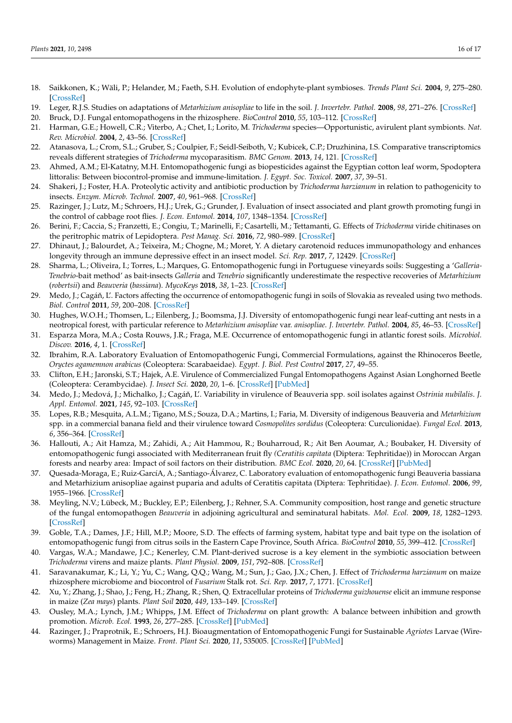- <span id="page-15-0"></span>18. Saikkonen, K.; Wäli, P.; Helander, M.; Faeth, S.H. Evolution of endophyte-plant symbioses. *Trends Plant Sci.* **2004**, *9*, 275–280. [\[CrossRef\]](http://doi.org/10.1016/j.tplants.2004.04.005)
- <span id="page-15-1"></span>19. Leger, R.J.S. Studies on adaptations of *Metarhizium anisopliae* to life in the soil. *J. Invertebr. Pathol.* **2008**, *98*, 271–276. [\[CrossRef\]](http://doi.org/10.1016/j.jip.2008.01.007)
- <span id="page-15-2"></span>20. Bruck, D.J. Fungal entomopathogens in the rhizosphere. *BioControl* **2010**, *55*, 103–112. [\[CrossRef\]](http://doi.org/10.1007/s10526-009-9236-7)
- <span id="page-15-3"></span>21. Harman, G.E.; Howell, C.R.; Viterbo, A.; Chet, I.; Lorito, M. *Trichoderma* species—Opportunistic, avirulent plant symbionts. *Nat. Rev. Microbiol.* **2004**, *2*, 43–56. [\[CrossRef\]](http://doi.org/10.1038/nrmicro797)
- <span id="page-15-4"></span>22. Atanasova, L.; Crom, S.L.; Gruber, S.; Coulpier, F.; Seidl-Seiboth, V.; Kubicek, C.P.; Druzhinina, I.S. Comparative transcriptomics reveals different strategies of *Trichoderma* mycoparasitism. *BMC Genom.* **2013**, *14*, 121. [\[CrossRef\]](http://doi.org/10.1186/1471-2164-14-121)
- <span id="page-15-5"></span>23. Ahmed, A.M.; El-Katatny, M.H. Entomopathogenic fungi as biopesticides against the Egyptian cotton leaf worm, Spodoptera littoralis: Between biocontrol-promise and immune-limitation. *J. Egypt. Soc. Toxicol.* **2007**, *37*, 39–51.
- <span id="page-15-24"></span>24. Shakeri, J.; Foster, H.A. Proteolytic activity and antibiotic production by *Trichoderma harzianum* in relation to pathogenicity to insects. *Enzym. Microb. Technol.* **2007**, *40*, 961–968. [\[CrossRef\]](http://doi.org/10.1016/j.enzmictec.2006.07.041)
- <span id="page-15-23"></span>25. Razinger, J.; Lutz, M.; Schroers, H.J.; Urek, G.; Grunder, J. Evaluation of insect associated and plant growth promoting fungi in the control of cabbage root flies. *J. Econ. Entomol.* **2014**, *107*, 1348–1354. [\[CrossRef\]](http://doi.org/10.1603/EC14004)
- <span id="page-15-6"></span>26. Berini, F.; Caccia, S.; Franzetti, E.; Congiu, T.; Marinelli, F.; Casartelli, M.; Tettamanti, G. Effects of *Trichoderma* viride chitinases on the peritrophic matrix of Lepidoptera. *Pest Manag. Sci.* **2016**, *72*, 980–989. [\[CrossRef\]](http://doi.org/10.1002/ps.4078)
- <span id="page-15-7"></span>27. Dhinaut, J.; Balourdet, A.; Teixeira, M.; Chogne, M.; Moret, Y. A dietary carotenoid reduces immunopathology and enhances longevity through an immune depressive effect in an insect model. *Sci. Rep.* **2017**, *7*, 12429. [\[CrossRef\]](http://doi.org/10.1038/s41598-017-12769-7)
- <span id="page-15-8"></span>28. Sharma, L.; Oliveira, I.; Torres, L.; Marques, G. Entomopathogenic fungi in Portuguese vineyards soils: Suggesting a '*Galleria-Tenebrio*-bait method' as bait-insects *Galleria* and *Tenebrio* significantly underestimate the respective recoveries of *Metarhizium* (*robertsii*) and *Beauveria* (*bassiana*). *MycoKeys* **2018**, *38*, 1–23. [\[CrossRef\]](http://doi.org/10.3897/mycokeys.38.26790)
- <span id="page-15-9"></span>29. Medo, J.; Cagáň, L'. Factors affecting the occurrence of entomopathogenic fungi in soils of Slovakia as revealed using two methods. *Biol. Control* **2011**, *59*, 200–208. [\[CrossRef\]](http://doi.org/10.1016/j.biocontrol.2011.07.020)
- <span id="page-15-10"></span>30. Hughes, W.O.H.; Thomsen, L.; Eilenberg, J.; Boomsma, J.J. Diversity of entomopathogenic fungi near leaf-cutting ant nests in a neotropical forest, with particular reference to *Metarhizium anisopliae* var. *anisopliae*. *J. Invertebr. Pathol.* **2004**, *85*, 46–53. [\[CrossRef\]](http://doi.org/10.1016/j.jip.2003.12.005)
- <span id="page-15-11"></span>31. Esparza Mora, M.A.; Costa Rouws, J.R.; Fraga, M.E. Occurrence of entomopathogenic fungi in atlantic forest soils. *Microbiol. Discov.* **2016**, *4*, 1. [\[CrossRef\]](http://doi.org/10.7243/2052-6180-4-1)
- <span id="page-15-12"></span>32. Ibrahim, R.A. Laboratory Evaluation of Entomopathogenic Fungi, Commercial Formulations, against the Rhinoceros Beetle, *Oryctes agamemnon arabicus* (Coleoptera: Scarabaeidae). *Egypt. J. Biol. Pest Control* **2017**, *27*, 49–55.
- <span id="page-15-13"></span>33. Clifton, E.H.; Jaronski, S.T.; Hajek, A.E. Virulence of Commercialized Fungal Entomopathogens Against Asian Longhorned Beetle (Coleoptera: Cerambycidae). *J. Insect Sci.* **2020**, *20*, 1–6. [\[CrossRef\]](http://doi.org/10.1093/jisesa/ieaa006) [\[PubMed\]](http://www.ncbi.nlm.nih.gov/pubmed/32112650)
- <span id="page-15-14"></span>34. Medo, J.; Medová, J.; Michalko, J.; Cagáň, L'. Variability in virulence of Beauveria spp. soil isolates against *Ostrinia nubilalis*. J. *Appl. Entomol.* **2021**, *145*, 92–103. [\[CrossRef\]](http://doi.org/10.1111/jen.12806)
- <span id="page-15-15"></span>35. Lopes, R.B.; Mesquita, A.L.M.; Tigano, M.S.; Souza, D.A.; Martins, I.; Faria, M. Diversity of indigenous Beauveria and *Metarhizium* spp. in a commercial banana field and their virulence toward *Cosmopolites sordidus* (Coleoptera: Curculionidae). *Fungal Ecol.* **2013**, *6*, 356–364. [\[CrossRef\]](http://doi.org/10.1016/j.funeco.2013.06.007)
- <span id="page-15-16"></span>36. Hallouti, A.; Ait Hamza, M.; Zahidi, A.; Ait Hammou, R.; Bouharroud, R.; Ait Ben Aoumar, A.; Boubaker, H. Diversity of entomopathogenic fungi associated with Mediterranean fruit fly *(Ceratitis capitata* (Diptera: Tephritidae)) in Moroccan Argan forests and nearby area: Impact of soil factors on their distribution. *BMC Ecol.* **2020**, *20*, 64. [\[CrossRef\]](http://doi.org/10.1186/s12898-020-00334-2) [\[PubMed\]](http://www.ncbi.nlm.nih.gov/pubmed/33234114)
- <span id="page-15-17"></span>37. Quesada-Moraga, E.; Ruiz-GarcíA, A.; Santiago-Álvarez, C. Laboratory evaluation of entomopathogenic fungi Beauveria bassiana and Metarhizium anisopliae against puparia and adults of Ceratitis capitata (Diptera: Tephritidae). *J. Econ. Entomol.* **2006**, *99*, 1955–1966. [\[CrossRef\]](http://doi.org/10.1093/jee/99.6.1955)
- <span id="page-15-18"></span>38. Meyling, N.V.; Lübeck, M.; Buckley, E.P.; Eilenberg, J.; Rehner, S.A. Community composition, host range and genetic structure of the fungal entomopathogen *Beauveria* in adjoining agricultural and seminatural habitats. *Mol. Ecol.* **2009**, *18*, 1282–1293. [\[CrossRef\]](http://doi.org/10.1111/j.1365-294X.2009.04095.x)
- <span id="page-15-19"></span>39. Goble, T.A.; Dames, J.F.; Hill, M.P.; Moore, S.D. The effects of farming system, habitat type and bait type on the isolation of entomopathogenic fungi from citrus soils in the Eastern Cape Province, South Africa. *BioControl* **2010**, *55*, 399–412. [\[CrossRef\]](http://doi.org/10.1007/s10526-009-9259-0)
- <span id="page-15-20"></span>40. Vargas, W.A.; Mandawe, J.C.; Kenerley, C.M. Plant-derived sucrose is a key element in the symbiotic association between *Trichoderma* virens and maize plants. *Plant Physiol.* **2009**, *151*, 792–808. [\[CrossRef\]](http://doi.org/10.1104/pp.109.141291)
- <span id="page-15-21"></span>41. Saravanakumar, K.; Li, Y.; Yu, C.; Wang, Q.Q.; Wang, M.; Sun, J.; Gao, J.X.; Chen, J. Effect of *Trichoderma harzianum* on maize rhizosphere microbiome and biocontrol of *Fusarium* Stalk rot. *Sci. Rep.* **2017**, *7*, 1771. [\[CrossRef\]](http://doi.org/10.1038/s41598-017-01680-w)
- <span id="page-15-22"></span>42. Xu, Y.; Zhang, J.; Shao, J.; Feng, H.; Zhang, R.; Shen, Q. Extracellular proteins of *Trichoderma guizhouense* elicit an immune response in maize (*Zea mays*) plants. *Plant Soil* **2020**, *449*, 133–149. [\[CrossRef\]](http://doi.org/10.1007/s11104-020-04435-1)
- <span id="page-15-25"></span>43. Ousley, M.A.; Lynch, J.M.; Whipps, J.M. Effect of *Trichoderma* on plant growth: A balance between inhibition and growth promotion. *Microb. Ecol.* **1993**, *26*, 277–285. [\[CrossRef\]](http://doi.org/10.1007/BF00176959) [\[PubMed\]](http://www.ncbi.nlm.nih.gov/pubmed/24190096)
- <span id="page-15-26"></span>44. Razinger, J.; Praprotnik, E.; Schroers, H.J. Bioaugmentation of Entomopathogenic Fungi for Sustainable *Agriotes* Larvae (Wireworms) Management in Maize. *Front. Plant Sci.* **2020**, *11*, 535005. [\[CrossRef\]](http://doi.org/10.3389/fpls.2020.535005) [\[PubMed\]](http://www.ncbi.nlm.nih.gov/pubmed/33042172)